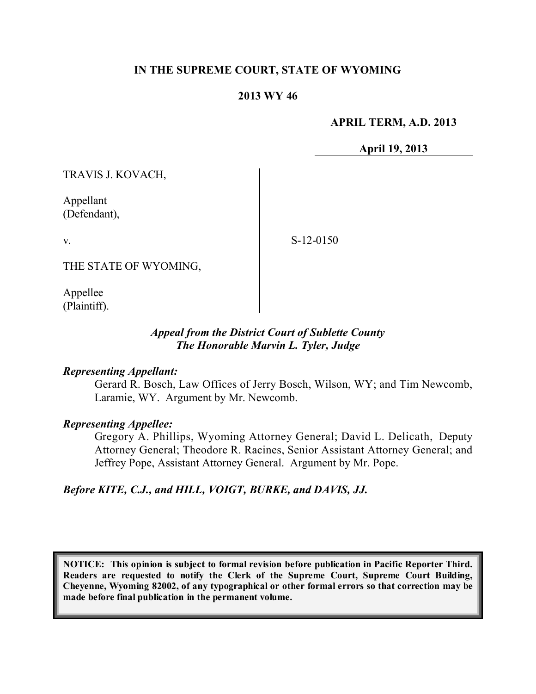#### **IN THE SUPREME COURT, STATE OF WYOMING**

#### **2013 WY 46**

**APRIL TERM, A.D. 2013**

**April 19, 2013**

TRAVIS J. KOVACH,

Appellant (Defendant),

v.

S-12-0150

THE STATE OF WYOMING,

Appellee (Plaintiff).

#### *Appeal from the District Court of Sublette County The Honorable Marvin L. Tyler, Judge*

#### *Representing Appellant:*

Gerard R. Bosch, Law Offices of Jerry Bosch, Wilson, WY; and Tim Newcomb, Laramie, WY. Argument by Mr. Newcomb.

#### *Representing Appellee:*

Gregory A. Phillips, Wyoming Attorney General; David L. Delicath, Deputy Attorney General; Theodore R. Racines, Senior Assistant Attorney General; and Jeffrey Pope, Assistant Attorney General. Argument by Mr. Pope.

*Before KITE, C.J., and HILL, VOIGT, BURKE, and DAVIS, JJ.*

**NOTICE: This opinion is subject to formal revision before publication in Pacific Reporter Third. Readers are requested to notify the Clerk of the Supreme Court, Supreme Court Building, Cheyenne, Wyoming 82002, of any typographical or other formal errors so that correction may be made before final publication in the permanent volume.**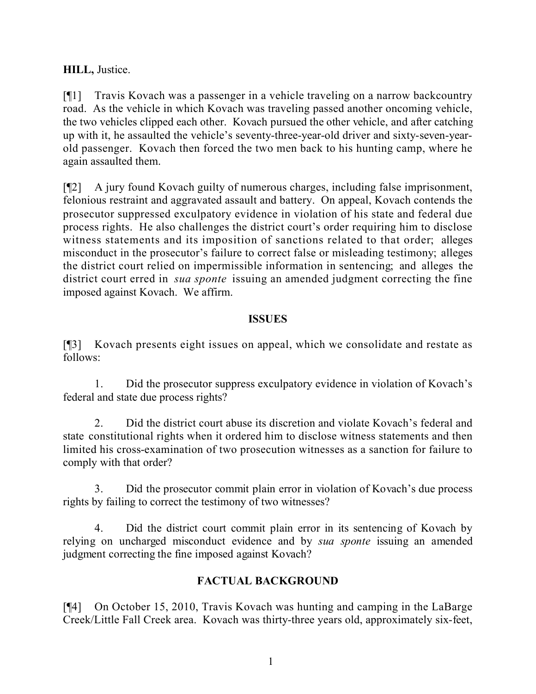#### **HILL,** Justice.

[¶1] Travis Kovach was a passenger in a vehicle traveling on a narrow backcountry road. As the vehicle in which Kovach was traveling passed another oncoming vehicle, the two vehicles clipped each other. Kovach pursued the other vehicle, and after catching up with it, he assaulted the vehicle's seventy-three-year-old driver and sixty-seven-yearold passenger. Kovach then forced the two men back to his hunting camp, where he again assaulted them.

[¶2] A jury found Kovach guilty of numerous charges, including false imprisonment, felonious restraint and aggravated assault and battery. On appeal, Kovach contends the prosecutor suppressed exculpatory evidence in violation of his state and federal due process rights. He also challenges the district court's order requiring him to disclose witness statements and its imposition of sanctions related to that order; alleges misconduct in the prosecutor's failure to correct false or misleading testimony; alleges the district court relied on impermissible information in sentencing; and alleges the district court erred in *sua sponte* issuing an amended judgment correcting the fine imposed against Kovach. We affirm.

#### **ISSUES**

[¶3] Kovach presents eight issues on appeal, which we consolidate and restate as follows:

1. Did the prosecutor suppress exculpatory evidence in violation of Kovach's federal and state due process rights?

2. Did the district court abuse its discretion and violate Kovach's federal and state constitutional rights when it ordered him to disclose witness statements and then limited his cross-examination of two prosecution witnesses as a sanction for failure to comply with that order?

3. Did the prosecutor commit plain error in violation of Kovach's due process rights by failing to correct the testimony of two witnesses?

4. Did the district court commit plain error in its sentencing of Kovach by relying on uncharged misconduct evidence and by *sua sponte* issuing an amended judgment correcting the fine imposed against Kovach?

## **FACTUAL BACKGROUND**

[¶4] On October 15, 2010, Travis Kovach was hunting and camping in the LaBarge Creek/Little Fall Creek area. Kovach was thirty-three years old, approximately six-feet,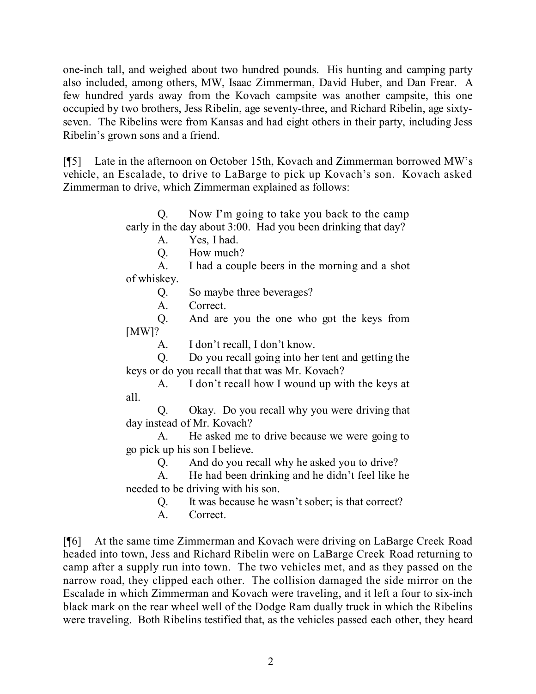one-inch tall, and weighed about two hundred pounds. His hunting and camping party also included, among others, MW, Isaac Zimmerman, David Huber, and Dan Frear. A few hundred yards away from the Kovach campsite was another campsite, this one occupied by two brothers, Jess Ribelin, age seventy-three, and Richard Ribelin, age sixtyseven. The Ribelins were from Kansas and had eight others in their party, including Jess Ribelin's grown sons and a friend.

[¶5] Late in the afternoon on October 15th, Kovach and Zimmerman borrowed MW's vehicle, an Escalade, to drive to LaBarge to pick up Kovach's son. Kovach asked Zimmerman to drive, which Zimmerman explained as follows:

> Q. Now I'm going to take you back to the camp early in the day about 3:00. Had you been drinking that day?

A. Yes, I had.

Q. How much?

A. I had a couple beers in the morning and a shot of whiskey.

Q. So maybe three beverages?

A. Correct.

Q. And are you the one who got the keys from [MW]?

A. I don't recall, I don't know.

Q. Do you recall going into her tent and getting the keys or do you recall that that was Mr. Kovach?

A. I don't recall how I wound up with the keys at all.

Q. Okay. Do you recall why you were driving that day instead of Mr. Kovach?

A. He asked me to drive because we were going to go pick up his son I believe.

Q. And do you recall why he asked you to drive?

A. He had been drinking and he didn't feel like he needed to be driving with his son.

Q. It was because he wasn't sober; is that correct?

A. Correct.

[¶6] At the same time Zimmerman and Kovach were driving on LaBarge Creek Road headed into town, Jess and Richard Ribelin were on LaBarge Creek Road returning to camp after a supply run into town. The two vehicles met, and as they passed on the narrow road, they clipped each other. The collision damaged the side mirror on the Escalade in which Zimmerman and Kovach were traveling, and it left a four to six-inch black mark on the rear wheel well of the Dodge Ram dually truck in which the Ribelins were traveling. Both Ribelins testified that, as the vehicles passed each other, they heard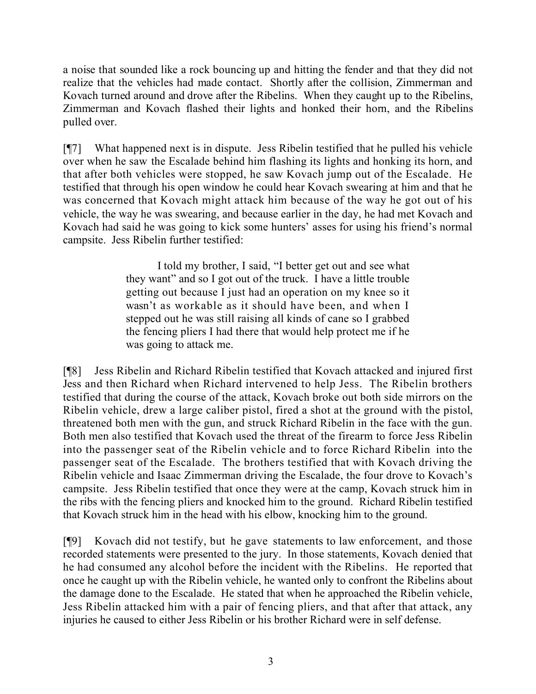a noise that sounded like a rock bouncing up and hitting the fender and that they did not realize that the vehicles had made contact. Shortly after the collision, Zimmerman and Kovach turned around and drove after the Ribelins. When they caught up to the Ribelins, Zimmerman and Kovach flashed their lights and honked their horn, and the Ribelins pulled over.

[¶7] What happened next is in dispute. Jess Ribelin testified that he pulled his vehicle over when he saw the Escalade behind him flashing its lights and honking its horn, and that after both vehicles were stopped, he saw Kovach jump out of the Escalade. He testified that through his open window he could hear Kovach swearing at him and that he was concerned that Kovach might attack him because of the way he got out of his vehicle, the way he was swearing, and because earlier in the day, he had met Kovach and Kovach had said he was going to kick some hunters' asses for using his friend's normal campsite. Jess Ribelin further testified:

> I told my brother, I said, "I better get out and see what they want" and so I got out of the truck. I have a little trouble getting out because I just had an operation on my knee so it wasn't as workable as it should have been, and when I stepped out he was still raising all kinds of cane so I grabbed the fencing pliers I had there that would help protect me if he was going to attack me.

[¶8] Jess Ribelin and Richard Ribelin testified that Kovach attacked and injured first Jess and then Richard when Richard intervened to help Jess. The Ribelin brothers testified that during the course of the attack, Kovach broke out both side mirrors on the Ribelin vehicle, drew a large caliber pistol, fired a shot at the ground with the pistol, threatened both men with the gun, and struck Richard Ribelin in the face with the gun. Both men also testified that Kovach used the threat of the firearm to force Jess Ribelin into the passenger seat of the Ribelin vehicle and to force Richard Ribelin into the passenger seat of the Escalade. The brothers testified that with Kovach driving the Ribelin vehicle and Isaac Zimmerman driving the Escalade, the four drove to Kovach's campsite. Jess Ribelin testified that once they were at the camp, Kovach struck him in the ribs with the fencing pliers and knocked him to the ground. Richard Ribelin testified that Kovach struck him in the head with his elbow, knocking him to the ground.

[¶9] Kovach did not testify, but he gave statements to law enforcement, and those recorded statements were presented to the jury. In those statements, Kovach denied that he had consumed any alcohol before the incident with the Ribelins. He reported that once he caught up with the Ribelin vehicle, he wanted only to confront the Ribelins about the damage done to the Escalade. He stated that when he approached the Ribelin vehicle, Jess Ribelin attacked him with a pair of fencing pliers, and that after that attack, any injuries he caused to either Jess Ribelin or his brother Richard were in self defense.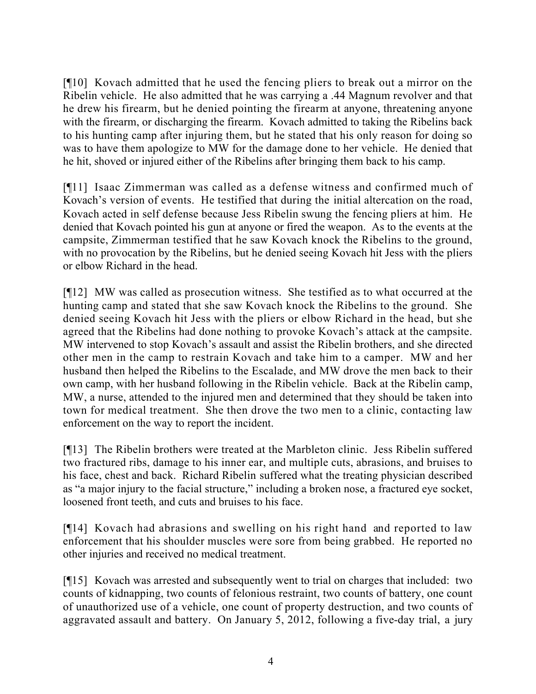[¶10] Kovach admitted that he used the fencing pliers to break out a mirror on the Ribelin vehicle. He also admitted that he was carrying a .44 Magnum revolver and that he drew his firearm, but he denied pointing the firearm at anyone, threatening anyone with the firearm, or discharging the firearm. Kovach admitted to taking the Ribelins back to his hunting camp after injuring them, but he stated that his only reason for doing so was to have them apologize to MW for the damage done to her vehicle. He denied that he hit, shoved or injured either of the Ribelins after bringing them back to his camp.

[¶11] Isaac Zimmerman was called as a defense witness and confirmed much of Kovach's version of events. He testified that during the initial altercation on the road, Kovach acted in self defense because Jess Ribelin swung the fencing pliers at him. He denied that Kovach pointed his gun at anyone or fired the weapon. As to the events at the campsite, Zimmerman testified that he saw Kovach knock the Ribelins to the ground, with no provocation by the Ribelins, but he denied seeing Kovach hit Jess with the pliers or elbow Richard in the head.

[¶12] MW was called as prosecution witness. She testified as to what occurred at the hunting camp and stated that she saw Kovach knock the Ribelins to the ground. She denied seeing Kovach hit Jess with the pliers or elbow Richard in the head, but she agreed that the Ribelins had done nothing to provoke Kovach's attack at the campsite. MW intervened to stop Kovach's assault and assist the Ribelin brothers, and she directed other men in the camp to restrain Kovach and take him to a camper. MW and her husband then helped the Ribelins to the Escalade, and MW drove the men back to their own camp, with her husband following in the Ribelin vehicle. Back at the Ribelin camp, MW, a nurse, attended to the injured men and determined that they should be taken into town for medical treatment. She then drove the two men to a clinic, contacting law enforcement on the way to report the incident.

[¶13] The Ribelin brothers were treated at the Marbleton clinic. Jess Ribelin suffered two fractured ribs, damage to his inner ear, and multiple cuts, abrasions, and bruises to his face, chest and back. Richard Ribelin suffered what the treating physician described as "a major injury to the facial structure," including a broken nose, a fractured eye socket, loosened front teeth, and cuts and bruises to his face.

[¶14] Kovach had abrasions and swelling on his right hand and reported to law enforcement that his shoulder muscles were sore from being grabbed. He reported no other injuries and received no medical treatment.

[¶15] Kovach was arrested and subsequently went to trial on charges that included: two counts of kidnapping, two counts of felonious restraint, two counts of battery, one count of unauthorized use of a vehicle, one count of property destruction, and two counts of aggravated assault and battery. On January 5, 2012, following a five-day trial, a jury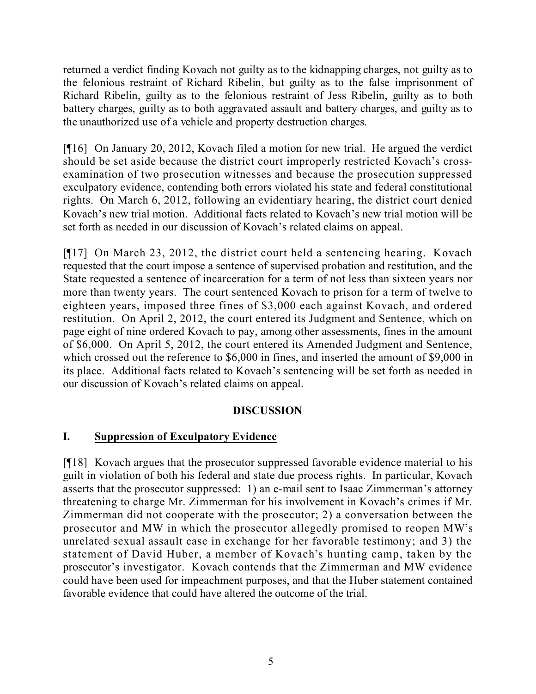returned a verdict finding Kovach not guilty as to the kidnapping charges, not guilty as to the felonious restraint of Richard Ribelin, but guilty as to the false imprisonment of Richard Ribelin, guilty as to the felonious restraint of Jess Ribelin, guilty as to both battery charges, guilty as to both aggravated assault and battery charges, and guilty as to the unauthorized use of a vehicle and property destruction charges.

[¶16] On January 20, 2012, Kovach filed a motion for new trial. He argued the verdict should be set aside because the district court improperly restricted Kovach's crossexamination of two prosecution witnesses and because the prosecution suppressed exculpatory evidence, contending both errors violated his state and federal constitutional rights. On March 6, 2012, following an evidentiary hearing, the district court denied Kovach's new trial motion. Additional facts related to Kovach's new trial motion will be set forth as needed in our discussion of Kovach's related claims on appeal.

[¶17] On March 23, 2012, the district court held a sentencing hearing. Kovach requested that the court impose a sentence of supervised probation and restitution, and the State requested a sentence of incarceration for a term of not less than sixteen years nor more than twenty years. The court sentenced Kovach to prison for a term of twelve to eighteen years, imposed three fines of \$3,000 each against Kovach, and ordered restitution. On April 2, 2012, the court entered its Judgment and Sentence, which on page eight of nine ordered Kovach to pay, among other assessments, fines in the amount of \$6,000. On April 5, 2012, the court entered its Amended Judgment and Sentence, which crossed out the reference to \$6,000 in fines, and inserted the amount of \$9,000 in its place. Additional facts related to Kovach's sentencing will be set forth as needed in our discussion of Kovach's related claims on appeal.

## **DISCUSSION**

# **I. Suppression of Exculpatory Evidence**

[¶18] Kovach argues that the prosecutor suppressed favorable evidence material to his guilt in violation of both his federal and state due process rights. In particular, Kovach asserts that the prosecutor suppressed: 1) an e-mail sent to Isaac Zimmerman's attorney threatening to charge Mr. Zimmerman for his involvement in Kovach's crimes if Mr. Zimmerman did not cooperate with the prosecutor; 2) a conversation between the prosecutor and MW in which the prosecutor allegedly promised to reopen MW's unrelated sexual assault case in exchange for her favorable testimony; and 3) the statement of David Huber, a member of Kovach's hunting camp, taken by the prosecutor's investigator. Kovach contends that the Zimmerman and MW evidence could have been used for impeachment purposes, and that the Huber statement contained favorable evidence that could have altered the outcome of the trial.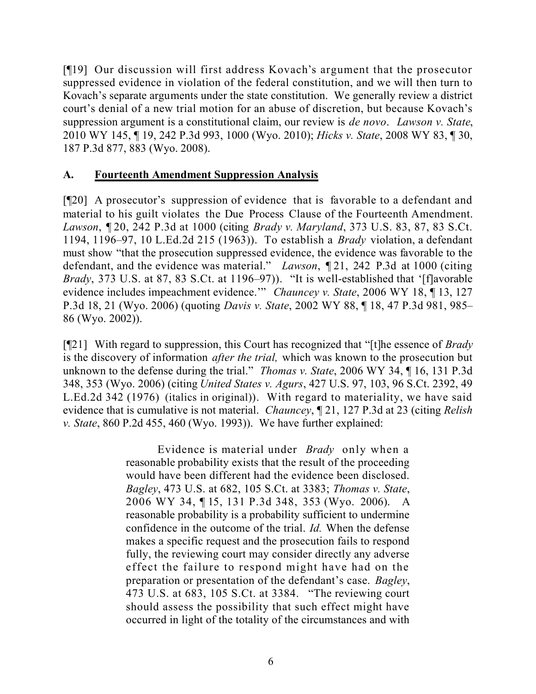[¶19] Our discussion will first address Kovach's argument that the prosecutor suppressed evidence in violation of the federal constitution, and we will then turn to Kovach's separate arguments under the state constitution. We generally review a district court's denial of a new trial motion for an abuse of discretion, but because Kovach's suppression argument is a constitutional claim, our review is *de novo*. *Lawson v. State*, 2010 WY 145, ¶ 19, 242 P.3d 993, 1000 (Wyo. 2010); *Hicks v. State*, 2008 WY 83, ¶ 30, 187 P.3d 877, 883 (Wyo. 2008).

#### **A. Fourteenth Amendment Suppression Analysis**

[¶20] A prosecutor's suppression of evidence that is favorable to a defendant and material to his guilt violates the Due Process Clause of the Fourteenth Amendment. *Lawson*, ¶ 20, 242 P.3d at 1000 (citing *Brady v. Maryland*, 373 U.S. 83, 87, 83 S.Ct. 1194, 1196–97, 10 L.Ed.2d 215 (1963)). To establish a *Brady* violation, a defendant must show "that the prosecution suppressed evidence, the evidence was favorable to the defendant, and the evidence was material." *Lawson*, ¶ 21, 242 P.3d at 1000 (citing *Brady*, 373 U.S. at 87, 83 S.Ct. at 1196–97)). "It is well-established that '[f]avorable evidence includes impeachment evidence.'" *Chauncey v. State*, 2006 WY 18, ¶ 13, 127 P.3d 18, 21 (Wyo. 2006) (quoting *Davis v. State*, 2002 WY 88, ¶ 18, 47 P.3d 981, 985– 86 (Wyo. 2002)).

[¶21] With regard to suppression, this Court has recognized that "[t]he essence of *Brady* is the discovery of information *after the trial,* which was known to the prosecution but unknown to the defense during the trial." *Thomas v. State*, 2006 WY 34, ¶ 16, 131 P.3d 348, 353 (Wyo. 2006) (citing *United States v. Agurs*, 427 U.S. 97, 103, 96 S.Ct. 2392, 49 L.Ed.2d 342 (1976) (italics in original)). With regard to materiality, we have said evidence that is cumulative is not material. *Chauncey*, ¶ 21, 127 P.3d at 23 (citing *Relish v. State*, 860 P.2d 455, 460 (Wyo. 1993)). We have further explained:

> Evidence is material under *Brady* only when a reasonable probability exists that the result of the proceeding would have been different had the evidence been disclosed. *Bagley*, 473 U.S. at 682, 105 S.Ct. at 3383; *Thomas v. State*, 2006 WY 34, ¶ 15, 131 P.3d 348, 353 (Wyo. 2006). A reasonable probability is a probability sufficient to undermine confidence in the outcome of the trial. *Id.* When the defense makes a specific request and the prosecution fails to respond fully, the reviewing court may consider directly any adverse effect the failure to respond might have had on the preparation or presentation of the defendant's case. *Bagley*, 473 U.S. at 683, 105 S.Ct. at 3384. "The reviewing court should assess the possibility that such effect might have occurred in light of the totality of the circumstances and with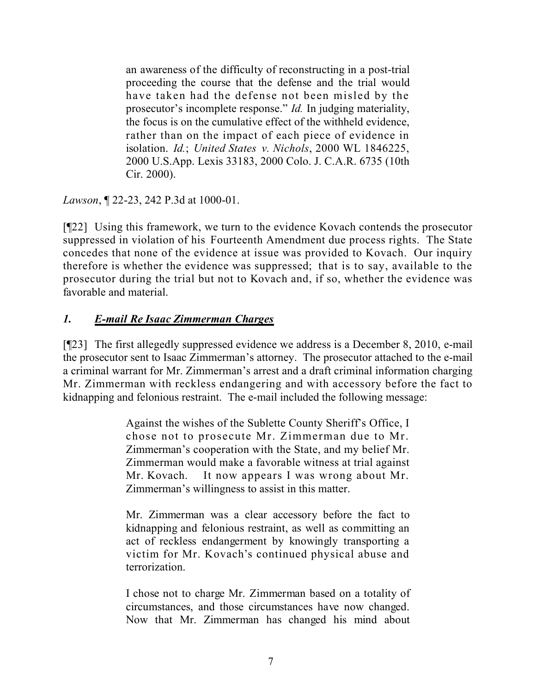an awareness of the difficulty of reconstructing in a post-trial proceeding the course that the defense and the trial would have taken had the defense not been misled by the prosecutor's incomplete response." *Id.* In judging materiality, the focus is on the cumulative effect of the withheld evidence, rather than on the impact of each piece of evidence in isolation. *Id.*; *United States v. Nichols*, 2000 WL 1846225, 2000 U.S.App. Lexis 33183, 2000 Colo. J. C.A.R. 6735 (10th Cir. 2000).

*Lawson*, ¶ 22-23, 242 P.3d at 1000-01.

[¶22] Using this framework, we turn to the evidence Kovach contends the prosecutor suppressed in violation of his Fourteenth Amendment due process rights. The State concedes that none of the evidence at issue was provided to Kovach. Our inquiry therefore is whether the evidence was suppressed; that is to say, available to the prosecutor during the trial but not to Kovach and, if so, whether the evidence was favorable and material.

#### *1. E-mail Re Isaac Zimmerman Charges*

[¶23] The first allegedly suppressed evidence we address is a December 8, 2010, e-mail the prosecutor sent to Isaac Zimmerman's attorney. The prosecutor attached to the e-mail a criminal warrant for Mr. Zimmerman's arrest and a draft criminal information charging Mr. Zimmerman with reckless endangering and with accessory before the fact to kidnapping and felonious restraint. The e-mail included the following message:

> Against the wishes of the Sublette County Sheriff's Office, I chose not to prosecute Mr. Zimmerman due to Mr. Zimmerman's cooperation with the State, and my belief Mr. Zimmerman would make a favorable witness at trial against Mr. Kovach. It now appears I was wrong about Mr. Zimmerman's willingness to assist in this matter.

> Mr. Zimmerman was a clear accessory before the fact to kidnapping and felonious restraint, as well as committing an act of reckless endangerment by knowingly transporting a victim for Mr. Kovach's continued physical abuse and terrorization.

> I chose not to charge Mr. Zimmerman based on a totality of circumstances, and those circumstances have now changed. Now that Mr. Zimmerman has changed his mind about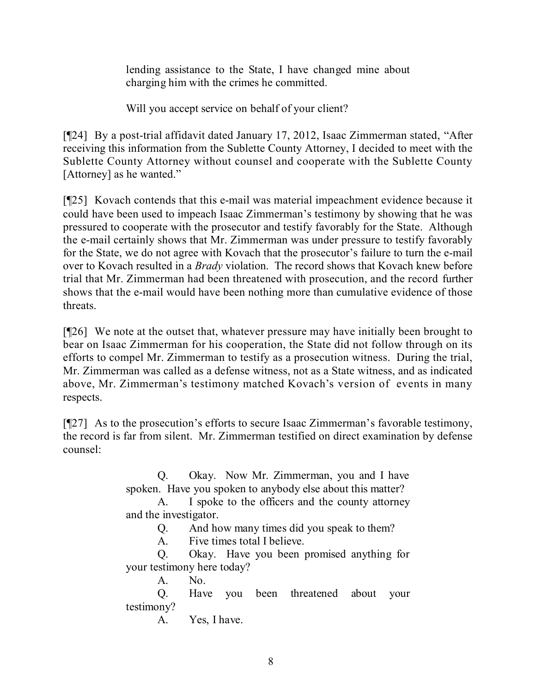lending assistance to the State, I have changed mine about charging him with the crimes he committed.

Will you accept service on behalf of your client?

[¶24] By a post-trial affidavit dated January 17, 2012, Isaac Zimmerman stated, "After receiving this information from the Sublette County Attorney, I decided to meet with the Sublette County Attorney without counsel and cooperate with the Sublette County [Attorney] as he wanted."

[¶25] Kovach contends that this e-mail was material impeachment evidence because it could have been used to impeach Isaac Zimmerman's testimony by showing that he was pressured to cooperate with the prosecutor and testify favorably for the State. Although the e-mail certainly shows that Mr. Zimmerman was under pressure to testify favorably for the State, we do not agree with Kovach that the prosecutor's failure to turn the e-mail over to Kovach resulted in a *Brady* violation. The record shows that Kovach knew before trial that Mr. Zimmerman had been threatened with prosecution, and the record further shows that the e-mail would have been nothing more than cumulative evidence of those threats.

[¶26] We note at the outset that, whatever pressure may have initially been brought to bear on Isaac Zimmerman for his cooperation, the State did not follow through on its efforts to compel Mr. Zimmerman to testify as a prosecution witness. During the trial, Mr. Zimmerman was called as a defense witness, not as a State witness, and as indicated above, Mr. Zimmerman's testimony matched Kovach's version of events in many respects.

[¶27] As to the prosecution's efforts to secure Isaac Zimmerman's favorable testimony, the record is far from silent. Mr. Zimmerman testified on direct examination by defense counsel:

> Q. Okay. Now Mr. Zimmerman, you and I have spoken. Have you spoken to anybody else about this matter? A. I spoke to the officers and the county attorney and the investigator. Q. And how many times did you speak to them? A. Five times total I believe. Q. Okay. Have you been promised anything for your testimony here today? A. No.

Q. Have you been threatened about your testimony?

A. Yes, I have.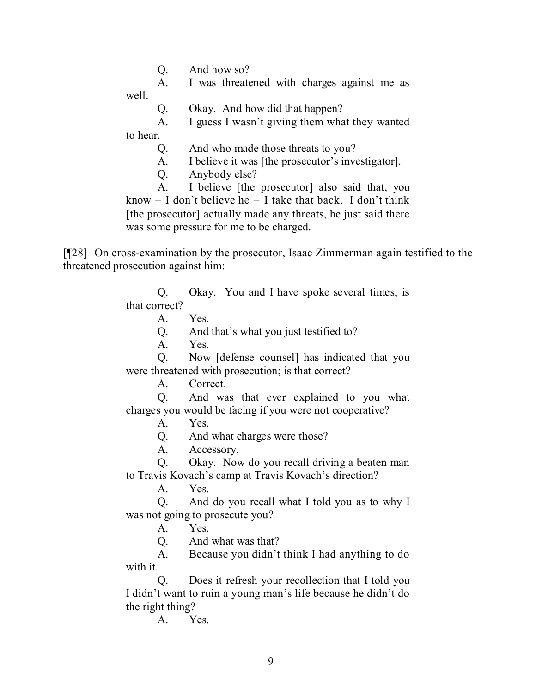Q. And how so?

A. I was threatened with charges against me as

well.

Q. Okay. And how did that happen?

A. I guess I wasn't giving them what they wanted to hear.

Q. And who made those threats to you?

A. I believe it was [the prosecutor's investigator].

Q. Anybody else?

A. I believe [the prosecutor] also said that, you know  $-$  I don't believe he  $-$  I take that back. I don't think [the prosecutor] actually made any threats, he just said there was some pressure for me to be charged.

[¶28] On cross-examination by the prosecutor, Isaac Zimmerman again testified to the threatened prosecution against him:

> Q. Okay. You and I have spoke several times; is that correct?

> > A. Yes.

Q. And that's what you just testified to?

A. Yes.

Q. Now [defense counsel] has indicated that you were threatened with prosecution; is that correct?

A. Correct.

Q. And was that ever explained to you what charges you would be facing if you were not cooperative?

A. Yes.

Q. And what charges were those?

A. Accessory.

Q. Okay. Now do you recall driving a beaten man to Travis Kovach's camp at Travis Kovach's direction?

A. Yes.

Q. And do you recall what I told you as to why I was not going to prosecute you?

A. Yes.

Q. And what was that?

A. Because you didn't think I had anything to do with it.

Q. Does it refresh your recollection that I told you I didn't want to ruin a young man's life because he didn't do the right thing?

A. Yes.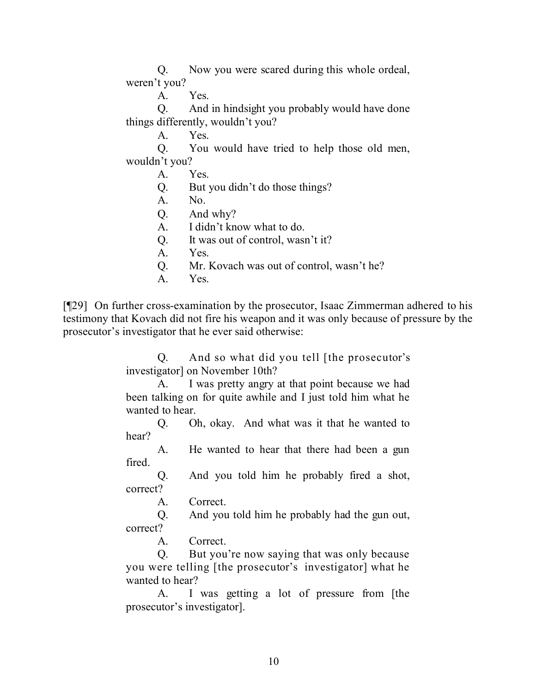Q. Now you were scared during this whole ordeal, weren't you?

A. Yes.

Q. And in hindsight you probably would have done things differently, wouldn't you?

A. Yes.

Q. You would have tried to help those old men, wouldn't you?

A. Yes.

- Q. But you didn't do those things?
- A. No.
- Q. And why?
- A. I didn't know what to do.
- Q. It was out of control, wasn't it?
- A. Yes.
- Q. Mr. Kovach was out of control, wasn't he?
- A. Yes.

[¶29] On further cross-examination by the prosecutor, Isaac Zimmerman adhered to his testimony that Kovach did not fire his weapon and it was only because of pressure by the prosecutor's investigator that he ever said otherwise:

> Q. And so what did you tell [the prosecutor's investigator] on November 10th?

> A. I was pretty angry at that point because we had been talking on for quite awhile and I just told him what he wanted to hear.

> Q. Oh, okay. And what was it that he wanted to hear?

> A. He wanted to hear that there had been a gun fired.

> Q. And you told him he probably fired a shot, correct?

> > A. Correct.

Q. And you told him he probably had the gun out, correct?

A. Correct.

Q. But you're now saying that was only because you were telling [the prosecutor's investigator] what he wanted to hear?

A. I was getting a lot of pressure from [the prosecutor's investigator].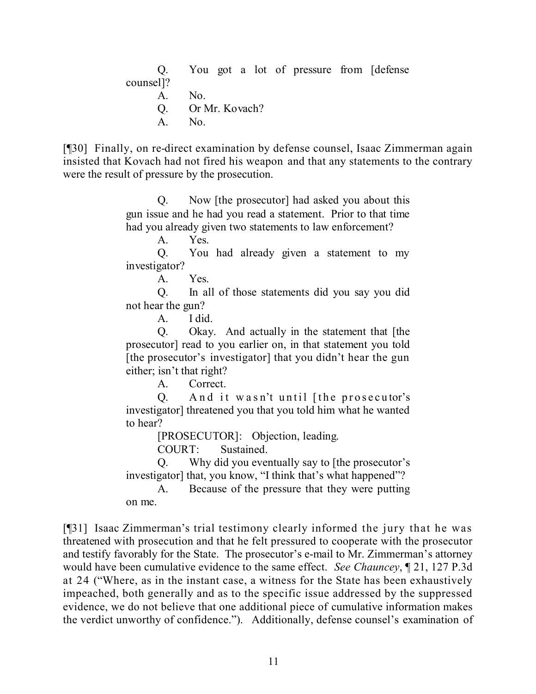Q. You got a lot of pressure from [defense counsel]? A. No. Q. Or Mr. Kovach? A. No.

[¶30] Finally, on re-direct examination by defense counsel, Isaac Zimmerman again insisted that Kovach had not fired his weapon and that any statements to the contrary were the result of pressure by the prosecution.

> Q. Now [the prosecutor] had asked you about this gun issue and he had you read a statement. Prior to that time had you already given two statements to law enforcement?

> > A. Yes.

Q. You had already given a statement to my investigator?

A. Yes.

Q. In all of those statements did you say you did not hear the gun?

A. I did.

Q. Okay. And actually in the statement that [the prosecutor] read to you earlier on, in that statement you told [the prosecutor's investigator] that you didn't hear the gun either; isn't that right?

A. Correct.

Q. And it wasn't until [the prosecutor's investigator] threatened you that you told him what he wanted to hear?

[PROSECUTOR]: Objection, leading.

COURT: Sustained.

Q. Why did you eventually say to [the prosecutor's investigator] that, you know, "I think that's what happened"?

A. Because of the pressure that they were putting on me.

[¶31] Isaac Zimmerman's trial testimony clearly informed the jury that he was threatened with prosecution and that he felt pressured to cooperate with the prosecutor and testify favorably for the State. The prosecutor's e-mail to Mr. Zimmerman's attorney would have been cumulative evidence to the same effect. *See Chauncey*, ¶ 21, 127 P.3d at 24 ("Where, as in the instant case, a witness for the State has been exhaustively impeached, both generally and as to the specific issue addressed by the suppressed evidence, we do not believe that one additional piece of cumulative information makes the verdict unworthy of confidence."). Additionally, defense counsel's examination of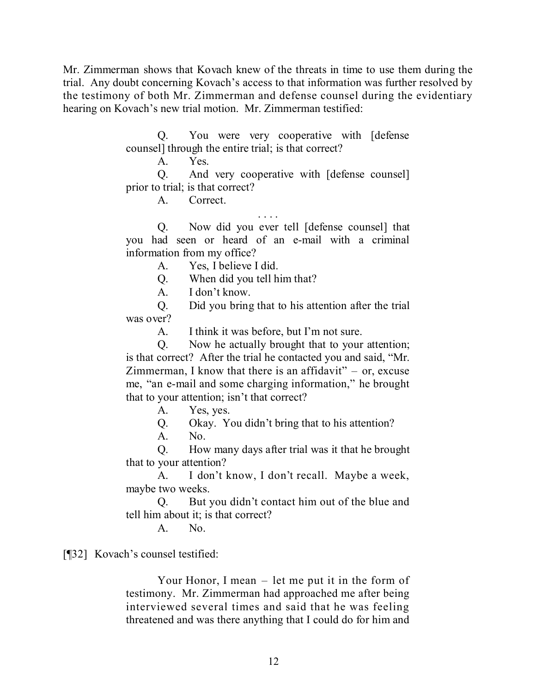Mr. Zimmerman shows that Kovach knew of the threats in time to use them during the trial. Any doubt concerning Kovach's access to that information was further resolved by the testimony of both Mr. Zimmerman and defense counsel during the evidentiary hearing on Kovach's new trial motion. Mr. Zimmerman testified:

> Q. You were very cooperative with [defense counsel] through the entire trial; is that correct?

> > A. Yes.

Q. And very cooperative with [defense counsel] prior to trial; is that correct?

. . . .

A. Correct.

Q. Now did you ever tell [defense counsel] that you had seen or heard of an e-mail with a criminal information from my office?

A. Yes, I believe I did.

Q. When did you tell him that?

A. I don't know.

Q. Did you bring that to his attention after the trial was over?

A. I think it was before, but I'm not sure.

Q. Now he actually brought that to your attention; is that correct? After the trial he contacted you and said, "Mr. Zimmerman, I know that there is an affidavit"  $-$  or, excuse me, "an e-mail and some charging information," he brought that to your attention; isn't that correct?

A. Yes, yes.

Q. Okay. You didn't bring that to his attention?

A. No.

Q. How many days after trial was it that he brought that to your attention?

A. I don't know, I don't recall. Maybe a week, maybe two weeks.

Q. But you didn't contact him out of the blue and tell him about it; is that correct?

A. No.

[¶32] Kovach's counsel testified:

Your Honor, I mean – let me put it in the form of testimony. Mr. Zimmerman had approached me after being interviewed several times and said that he was feeling threatened and was there anything that I could do for him and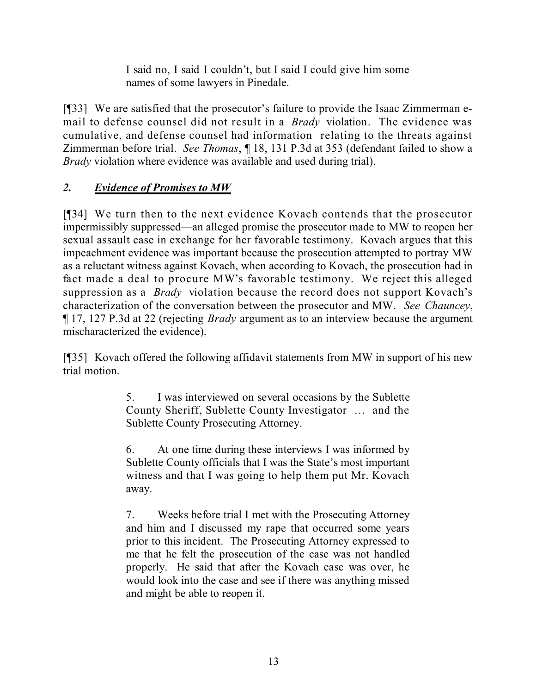I said no, I said I couldn't, but I said I could give him some names of some lawyers in Pinedale.

[¶33] We are satisfied that the prosecutor's failure to provide the Isaac Zimmerman email to defense counsel did not result in a *Brady* violation. The evidence was cumulative, and defense counsel had information relating to the threats against Zimmerman before trial. *See Thomas*, ¶ 18, 131 P.3d at 353 (defendant failed to show a *Brady* violation where evidence was available and used during trial).

# *2. Evidence of Promises to MW*

[¶34] We turn then to the next evidence Kovach contends that the prosecutor impermissibly suppressed—an alleged promise the prosecutor made to MW to reopen her sexual assault case in exchange for her favorable testimony. Kovach argues that this impeachment evidence was important because the prosecution attempted to portray MW as a reluctant witness against Kovach, when according to Kovach, the prosecution had in fact made a deal to procure MW's favorable testimony. We reject this alleged suppression as a *Brady* violation because the record does not support Kovach's characterization of the conversation between the prosecutor and MW. *See Chauncey*, ¶ 17, 127 P.3d at 22 (rejecting *Brady* argument as to an interview because the argument mischaracterized the evidence).

[¶35] Kovach offered the following affidavit statements from MW in support of his new trial motion.

> 5. I was interviewed on several occasions by the Sublette County Sheriff, Sublette County Investigator … and the Sublette County Prosecuting Attorney.

> 6. At one time during these interviews I was informed by Sublette County officials that I was the State's most important witness and that I was going to help them put Mr. Kovach away.

> 7. Weeks before trial I met with the Prosecuting Attorney and him and I discussed my rape that occurred some years prior to this incident. The Prosecuting Attorney expressed to me that he felt the prosecution of the case was not handled properly. He said that after the Kovach case was over, he would look into the case and see if there was anything missed and might be able to reopen it.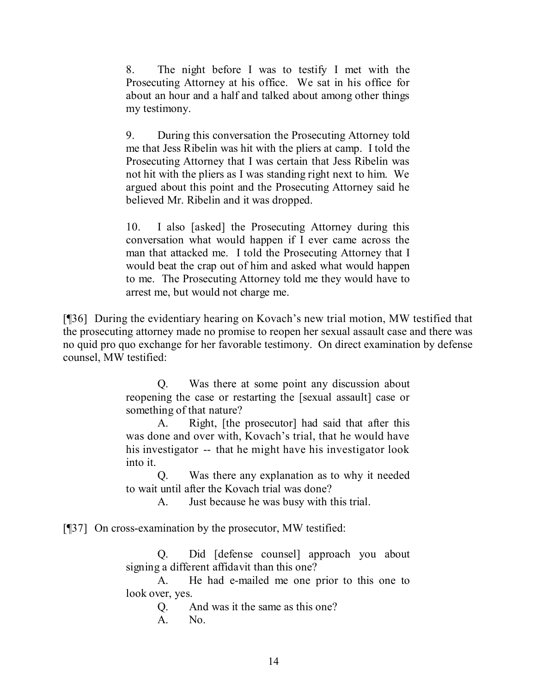8. The night before I was to testify I met with the Prosecuting Attorney at his office. We sat in his office for about an hour and a half and talked about among other things my testimony.

9. During this conversation the Prosecuting Attorney told me that Jess Ribelin was hit with the pliers at camp. I told the Prosecuting Attorney that I was certain that Jess Ribelin was not hit with the pliers as I was standing right next to him. We argued about this point and the Prosecuting Attorney said he believed Mr. Ribelin and it was dropped.

10. I also [asked] the Prosecuting Attorney during this conversation what would happen if I ever came across the man that attacked me. I told the Prosecuting Attorney that I would beat the crap out of him and asked what would happen to me. The Prosecuting Attorney told me they would have to arrest me, but would not charge me.

[¶36] During the evidentiary hearing on Kovach's new trial motion, MW testified that the prosecuting attorney made no promise to reopen her sexual assault case and there was no quid pro quo exchange for her favorable testimony. On direct examination by defense counsel, MW testified:

> Q. Was there at some point any discussion about reopening the case or restarting the [sexual assault] case or something of that nature?

> A. Right, [the prosecutor] had said that after this was done and over with, Kovach's trial, that he would have his investigator -- that he might have his investigator look into it.

> Q. Was there any explanation as to why it needed to wait until after the Kovach trial was done?

A. Just because he was busy with this trial.

[¶37] On cross-examination by the prosecutor, MW testified:

Q. Did [defense counsel] approach you about signing a different affidavit than this one?

A. He had e-mailed me one prior to this one to look over, yes.

Q. And was it the same as this one?

A. No.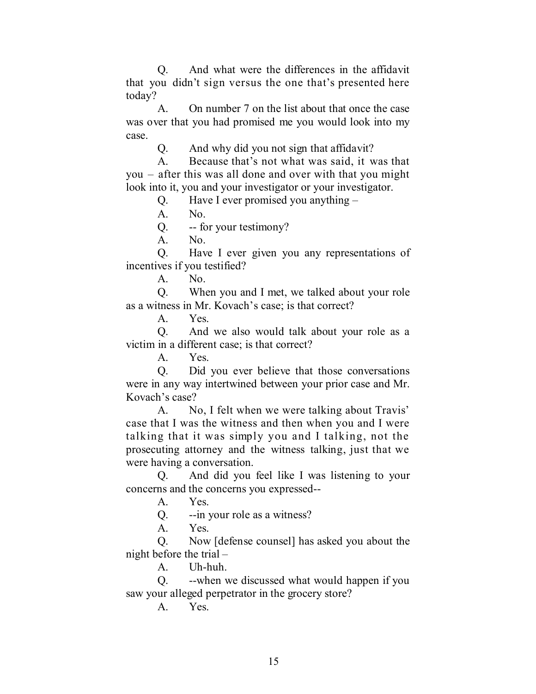Q. And what were the differences in the affidavit that you didn't sign versus the one that's presented here today?

A. On number 7 on the list about that once the case was over that you had promised me you would look into my case.

Q. And why did you not sign that affidavit?

A. Because that's not what was said, it was that you – after this was all done and over with that you might look into it, you and your investigator or your investigator.

Q. Have I ever promised you anything –

A. No.

Q. -- for your testimony?

A. No.

Q. Have I ever given you any representations of incentives if you testified?

A. No.

Q. When you and I met, we talked about your role as a witness in Mr. Kovach's case; is that correct?

A. Yes.

Q. And we also would talk about your role as a victim in a different case; is that correct?

A. Yes.

Q. Did you ever believe that those conversations were in any way intertwined between your prior case and Mr. Kovach's case?

A. No, I felt when we were talking about Travis' case that I was the witness and then when you and I were talking that it was simply you and I talking, not the prosecuting attorney and the witness talking, just that we were having a conversation.

Q. And did you feel like I was listening to your concerns and the concerns you expressed--

A. Yes.

Q. --in your role as a witness?

A. Yes.

Q. Now [defense counsel] has asked you about the night before the trial –

A. Uh-huh.

Q. --when we discussed what would happen if you saw your alleged perpetrator in the grocery store?

A. Yes.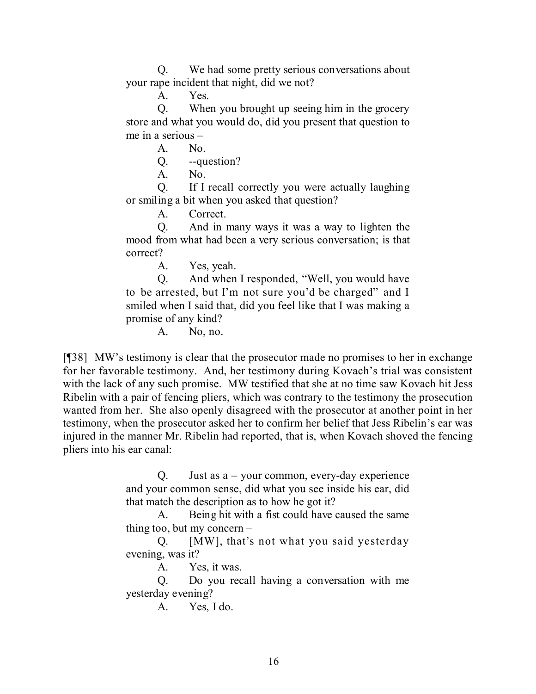Q. We had some pretty serious conversations about your rape incident that night, did we not?

A. Yes.

Q. When you brought up seeing him in the grocery store and what you would do, did you present that question to me in a serious –

A. No.

Q. --question?

A. No.

Q. If I recall correctly you were actually laughing or smiling a bit when you asked that question?

A. Correct.

Q. And in many ways it was a way to lighten the mood from what had been a very serious conversation; is that correct?

A. Yes, yeah.

Q. And when I responded, "Well, you would have to be arrested, but I'm not sure you'd be charged" and I smiled when I said that, did you feel like that I was making a promise of any kind?

A. No, no.

[¶38] MW's testimony is clear that the prosecutor made no promises to her in exchange for her favorable testimony. And, her testimony during Kovach's trial was consistent with the lack of any such promise. MW testified that she at no time saw Kovach hit Jess Ribelin with a pair of fencing pliers, which was contrary to the testimony the prosecution wanted from her. She also openly disagreed with the prosecutor at another point in her testimony, when the prosecutor asked her to confirm her belief that Jess Ribelin's ear was injured in the manner Mr. Ribelin had reported, that is, when Kovach shoved the fencing pliers into his ear canal:

> Q. Just as a – your common, every-day experience and your common sense, did what you see inside his ear, did that match the description as to how he got it?

> A. Being hit with a fist could have caused the same thing too, but my concern –

> Q. [MW], that's not what you said yesterday evening, was it?

> > A. Yes, it was.

Q. Do you recall having a conversation with me yesterday evening?

A. Yes, I do.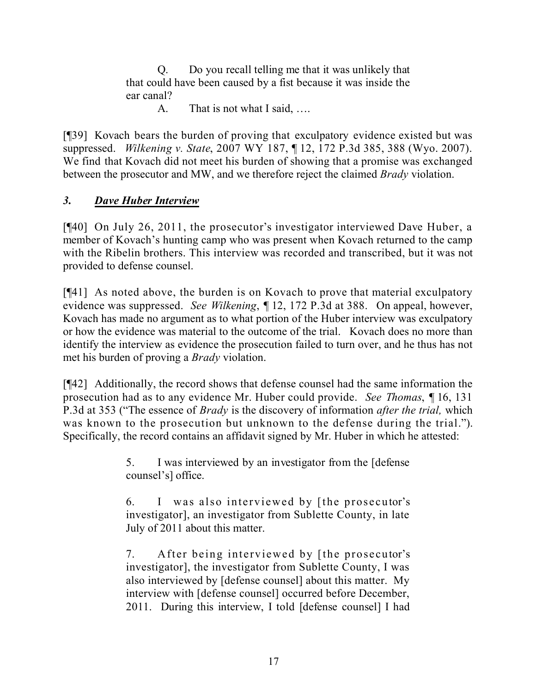Q. Do you recall telling me that it was unlikely that that could have been caused by a fist because it was inside the ear canal?

A. That is not what I said, ….

[¶39] Kovach bears the burden of proving that exculpatory evidence existed but was suppressed. *Wilkening v. State*, 2007 WY 187, ¶ 12, 172 P.3d 385, 388 (Wyo. 2007). We find that Kovach did not meet his burden of showing that a promise was exchanged between the prosecutor and MW, and we therefore reject the claimed *Brady* violation.

## *3. Dave Huber Interview*

[¶40] On July 26, 2011, the prosecutor's investigator interviewed Dave Huber, a member of Kovach's hunting camp who was present when Kovach returned to the camp with the Ribelin brothers. This interview was recorded and transcribed, but it was not provided to defense counsel.

[¶41] As noted above, the burden is on Kovach to prove that material exculpatory evidence was suppressed. *See Wilkening*, ¶ 12, 172 P.3d at 388. On appeal, however, Kovach has made no argument as to what portion of the Huber interview was exculpatory or how the evidence was material to the outcome of the trial. Kovach does no more than identify the interview as evidence the prosecution failed to turn over, and he thus has not met his burden of proving a *Brady* violation.

[¶42] Additionally, the record shows that defense counsel had the same information the prosecution had as to any evidence Mr. Huber could provide. *See Thomas*, ¶ 16, 131 P.3d at 353 ("The essence of *Brady* is the discovery of information *after the trial,* which was known to the prosecution but unknown to the defense during the trial."). Specifically, the record contains an affidavit signed by Mr. Huber in which he attested:

> 5. I was interviewed by an investigator from the [defense counsel's] office.

> 6. I was also interviewed by [the prosecutor's investigator], an investigator from Sublette County, in late July of 2011 about this matter.

> 7. After being interviewed by [the prosecutor's investigator], the investigator from Sublette County, I was also interviewed by [defense counsel] about this matter. My interview with [defense counsel] occurred before December, 2011. During this interview, I told [defense counsel] I had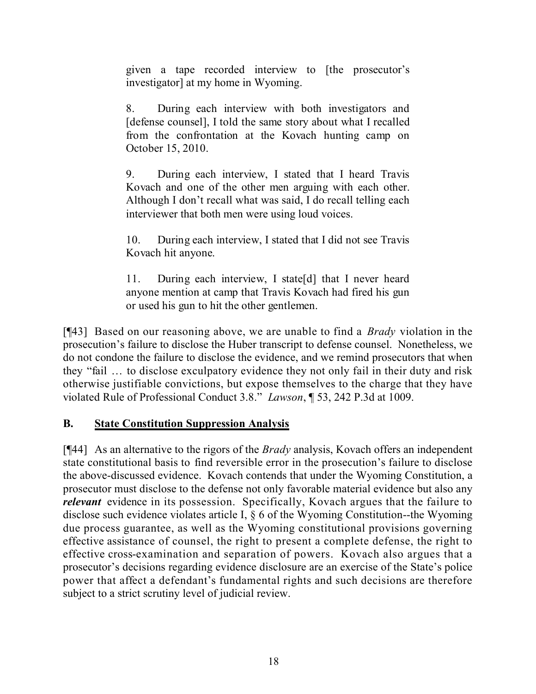given a tape recorded interview to [the prosecutor's investigator] at my home in Wyoming.

8. During each interview with both investigators and [defense counsel], I told the same story about what I recalled from the confrontation at the Kovach hunting camp on October 15, 2010.

9. During each interview, I stated that I heard Travis Kovach and one of the other men arguing with each other. Although I don't recall what was said, I do recall telling each interviewer that both men were using loud voices.

10. During each interview, I stated that I did not see Travis Kovach hit anyone.

11. During each interview, I state[d] that I never heard anyone mention at camp that Travis Kovach had fired his gun or used his gun to hit the other gentlemen.

[¶43] Based on our reasoning above, we are unable to find a *Brady* violation in the prosecution's failure to disclose the Huber transcript to defense counsel. Nonetheless, we do not condone the failure to disclose the evidence, and we remind prosecutors that when they "fail … to disclose exculpatory evidence they not only fail in their duty and risk otherwise justifiable convictions, but expose themselves to the charge that they have violated Rule of Professional Conduct 3.8." *Lawson*, ¶ 53, 242 P.3d at 1009.

## **B. State Constitution Suppression Analysis**

[¶44] As an alternative to the rigors of the *Brady* analysis, Kovach offers an independent state constitutional basis to find reversible error in the prosecution's failure to disclose the above-discussed evidence. Kovach contends that under the Wyoming Constitution, a prosecutor must disclose to the defense not only favorable material evidence but also any *relevant* evidence in its possession. Specifically, Kovach argues that the failure to disclose such evidence violates article I, § 6 of the Wyoming Constitution--the Wyoming due process guarantee, as well as the Wyoming constitutional provisions governing effective assistance of counsel, the right to present a complete defense, the right to effective cross-examination and separation of powers. Kovach also argues that a prosecutor's decisions regarding evidence disclosure are an exercise of the State's police power that affect a defendant's fundamental rights and such decisions are therefore subject to a strict scrutiny level of judicial review.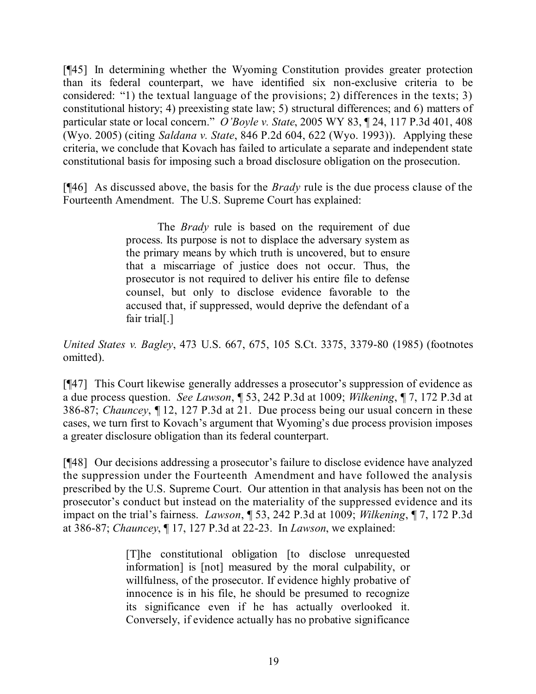[¶45] In determining whether the Wyoming Constitution provides greater protection than its federal counterpart, we have identified six non-exclusive criteria to be considered: "1) the textual language of the provisions; 2) differences in the texts; 3) constitutional history; 4) preexisting state law; 5) structural differences; and 6) matters of particular state or local concern." *O'Boyle v. State*, 2005 WY 83, ¶ 24, 117 P.3d 401, 408 (Wyo. 2005) (citing *Saldana v. State*, 846 P.2d 604, 622 (Wyo. 1993)). Applying these criteria, we conclude that Kovach has failed to articulate a separate and independent state constitutional basis for imposing such a broad disclosure obligation on the prosecution.

[¶46] As discussed above, the basis for the *Brady* rule is the due process clause of the Fourteenth Amendment. The U.S. Supreme Court has explained:

> The *Brady* rule is based on the requirement of due process. Its purpose is not to displace the adversary system as the primary means by which truth is uncovered, but to ensure that a miscarriage of justice does not occur. Thus, the prosecutor is not required to deliver his entire file to defense counsel, but only to disclose evidence favorable to the accused that, if suppressed, would deprive the defendant of a fair trial[.]

*United States v. Bagley*, 473 U.S. 667, 675, 105 S.Ct. 3375, 3379-80 (1985) (footnotes omitted).

[¶47] This Court likewise generally addresses a prosecutor's suppression of evidence as a due process question. *See Lawson*, ¶ 53, 242 P.3d at 1009; *Wilkening*, ¶ 7, 172 P.3d at 386-87; *Chauncey*, ¶ 12, 127 P.3d at 21. Due process being our usual concern in these cases, we turn first to Kovach's argument that Wyoming's due process provision imposes a greater disclosure obligation than its federal counterpart.

[¶48] Our decisions addressing a prosecutor's failure to disclose evidence have analyzed the suppression under the Fourteenth Amendment and have followed the analysis prescribed by the U.S. Supreme Court. Our attention in that analysis has been not on the prosecutor's conduct but instead on the materiality of the suppressed evidence and its impact on the trial's fairness. *Lawson*, ¶ 53, 242 P.3d at 1009; *Wilkening*, ¶ 7, 172 P.3d at 386-87; *Chauncey*, ¶ 17, 127 P.3d at 22-23. In *Lawson*, we explained:

> [T]he constitutional obligation [to disclose unrequested information] is [not] measured by the moral culpability, or willfulness, of the prosecutor. If evidence highly probative of innocence is in his file, he should be presumed to recognize its significance even if he has actually overlooked it. Conversely, if evidence actually has no probative significance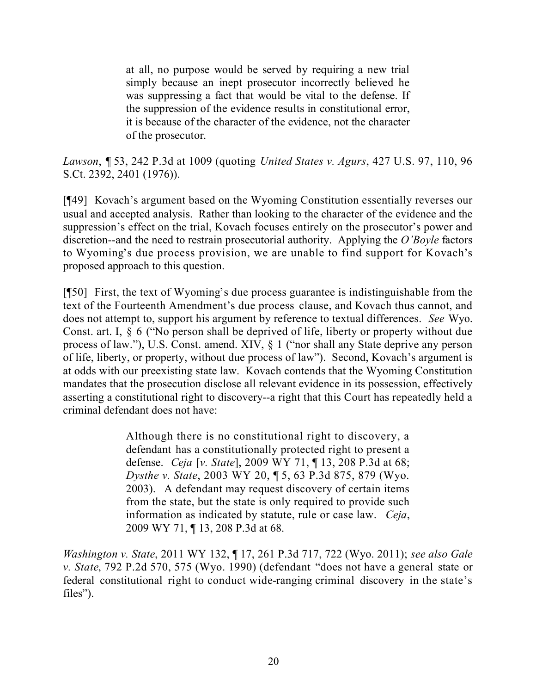at all, no purpose would be served by requiring a new trial simply because an inept prosecutor incorrectly believed he was suppressing a fact that would be vital to the defense. If the suppression of the evidence results in constitutional error, it is because of the character of the evidence, not the character of the prosecutor.

*Lawson*, ¶ 53, 242 P.3d at 1009 (quoting *United States v. Agurs*, 427 U.S. 97, 110, 96 S.Ct. 2392, 2401 (1976)).

[¶49] Kovach's argument based on the Wyoming Constitution essentially reverses our usual and accepted analysis. Rather than looking to the character of the evidence and the suppression's effect on the trial, Kovach focuses entirely on the prosecutor's power and discretion--and the need to restrain prosecutorial authority. Applying the *O'Boyle* factors to Wyoming's due process provision, we are unable to find support for Kovach's proposed approach to this question.

[¶50] First, the text of Wyoming's due process guarantee is indistinguishable from the text of the Fourteenth Amendment's due process clause, and Kovach thus cannot, and does not attempt to, support his argument by reference to textual differences. *See* Wyo. Const. art. I, § 6 ("No person shall be deprived of life, liberty or property without due process of law."), U.S. Const. amend. XIV, § 1 ("nor shall any State deprive any person of life, liberty, or property, without due process of law"). Second, Kovach's argument is at odds with our preexisting state law. Kovach contends that the Wyoming Constitution mandates that the prosecution disclose all relevant evidence in its possession, effectively asserting a constitutional right to discovery--a right that this Court has repeatedly held a criminal defendant does not have:

> Although there is no constitutional right to discovery, a defendant has a constitutionally protected right to present a defense. *Ceja* [*v. State*], 2009 WY 71, ¶ 13, 208 P.3d at 68; *Dysthe v. State*, 2003 WY 20, ¶ 5, 63 P.3d 875, 879 (Wyo. 2003). A defendant may request discovery of certain items from the state, but the state is only required to provide such information as indicated by statute, rule or case law. *Ceja*, 2009 WY 71, ¶ 13, 208 P.3d at 68.

*Washington v. State*, 2011 WY 132, ¶ 17, 261 P.3d 717, 722 (Wyo. 2011); *see also Gale v. State*, 792 P.2d 570, 575 (Wyo. 1990) (defendant "does not have a general state or federal constitutional right to conduct wide-ranging criminal discovery in the state's files").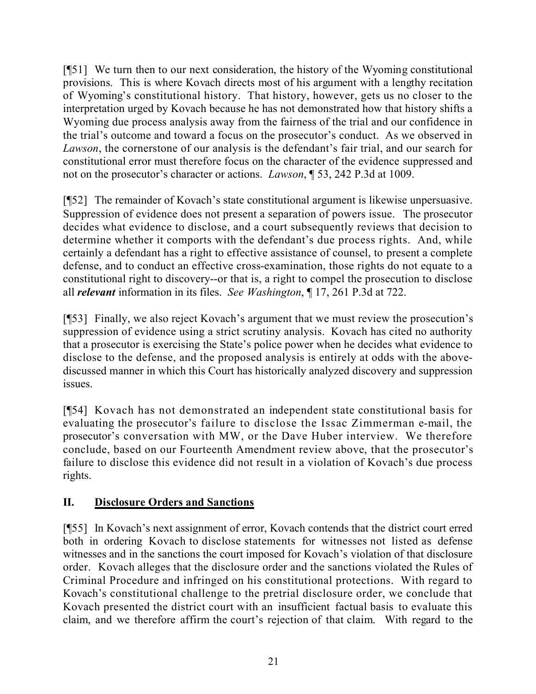[¶51] We turn then to our next consideration, the history of the Wyoming constitutional provisions. This is where Kovach directs most of his argument with a lengthy recitation of Wyoming's constitutional history. That history, however, gets us no closer to the interpretation urged by Kovach because he has not demonstrated how that history shifts a Wyoming due process analysis away from the fairness of the trial and our confidence in the trial's outcome and toward a focus on the prosecutor's conduct. As we observed in *Lawson*, the cornerstone of our analysis is the defendant's fair trial, and our search for constitutional error must therefore focus on the character of the evidence suppressed and not on the prosecutor's character or actions. *Lawson*, ¶ 53, 242 P.3d at 1009.

[¶52] The remainder of Kovach's state constitutional argument is likewise unpersuasive. Suppression of evidence does not present a separation of powers issue. The prosecutor decides what evidence to disclose, and a court subsequently reviews that decision to determine whether it comports with the defendant's due process rights. And, while certainly a defendant has a right to effective assistance of counsel, to present a complete defense, and to conduct an effective cross-examination, those rights do not equate to a constitutional right to discovery--or that is, a right to compel the prosecution to disclose all *relevant* information in its files. *See Washington*, ¶ 17, 261 P.3d at 722.

[¶53] Finally, we also reject Kovach's argument that we must review the prosecution's suppression of evidence using a strict scrutiny analysis. Kovach has cited no authority that a prosecutor is exercising the State's police power when he decides what evidence to disclose to the defense, and the proposed analysis is entirely at odds with the abovediscussed manner in which this Court has historically analyzed discovery and suppression issues.

[¶54] Kovach has not demonstrated an independent state constitutional basis for evaluating the prosecutor's failure to disclose the Issac Zimmerman e-mail, the prosecutor's conversation with MW, or the Dave Huber interview. We therefore conclude, based on our Fourteenth Amendment review above, that the prosecutor's failure to disclose this evidence did not result in a violation of Kovach's due process rights.

# **II. Disclosure Orders and Sanctions**

[¶55] In Kovach's next assignment of error, Kovach contends that the district court erred both in ordering Kovach to disclose statements for witnesses not listed as defense witnesses and in the sanctions the court imposed for Kovach's violation of that disclosure order. Kovach alleges that the disclosure order and the sanctions violated the Rules of Criminal Procedure and infringed on his constitutional protections. With regard to Kovach's constitutional challenge to the pretrial disclosure order, we conclude that Kovach presented the district court with an insufficient factual basis to evaluate this claim, and we therefore affirm the court's rejection of that claim. With regard to the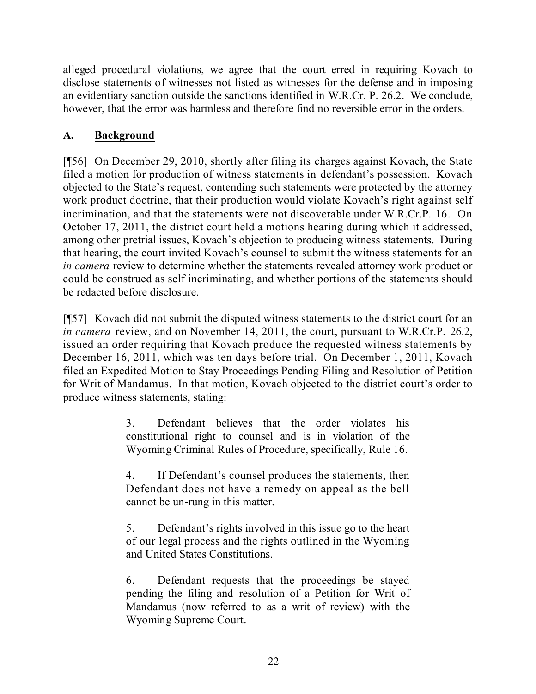alleged procedural violations, we agree that the court erred in requiring Kovach to disclose statements of witnesses not listed as witnesses for the defense and in imposing an evidentiary sanction outside the sanctions identified in W.R.Cr. P. 26.2. We conclude, however, that the error was harmless and therefore find no reversible error in the orders.

# **A. Background**

[¶56] On December 29, 2010, shortly after filing its charges against Kovach, the State filed a motion for production of witness statements in defendant's possession. Kovach objected to the State's request, contending such statements were protected by the attorney work product doctrine, that their production would violate Kovach's right against self incrimination, and that the statements were not discoverable under W.R.Cr.P. 16. On October 17, 2011, the district court held a motions hearing during which it addressed, among other pretrial issues, Kovach's objection to producing witness statements. During that hearing, the court invited Kovach's counsel to submit the witness statements for an *in camera* review to determine whether the statements revealed attorney work product or could be construed as self incriminating, and whether portions of the statements should be redacted before disclosure.

[¶57] Kovach did not submit the disputed witness statements to the district court for an *in camera* review, and on November 14, 2011, the court, pursuant to W.R.Cr.P. 26.2, issued an order requiring that Kovach produce the requested witness statements by December 16, 2011, which was ten days before trial. On December 1, 2011, Kovach filed an Expedited Motion to Stay Proceedings Pending Filing and Resolution of Petition for Writ of Mandamus. In that motion, Kovach objected to the district court's order to produce witness statements, stating:

> 3. Defendant believes that the order violates his constitutional right to counsel and is in violation of the Wyoming Criminal Rules of Procedure, specifically, Rule 16.

> 4. If Defendant's counsel produces the statements, then Defendant does not have a remedy on appeal as the bell cannot be un-rung in this matter.

> 5. Defendant's rights involved in this issue go to the heart of our legal process and the rights outlined in the Wyoming and United States Constitutions.

> 6. Defendant requests that the proceedings be stayed pending the filing and resolution of a Petition for Writ of Mandamus (now referred to as a writ of review) with the Wyoming Supreme Court.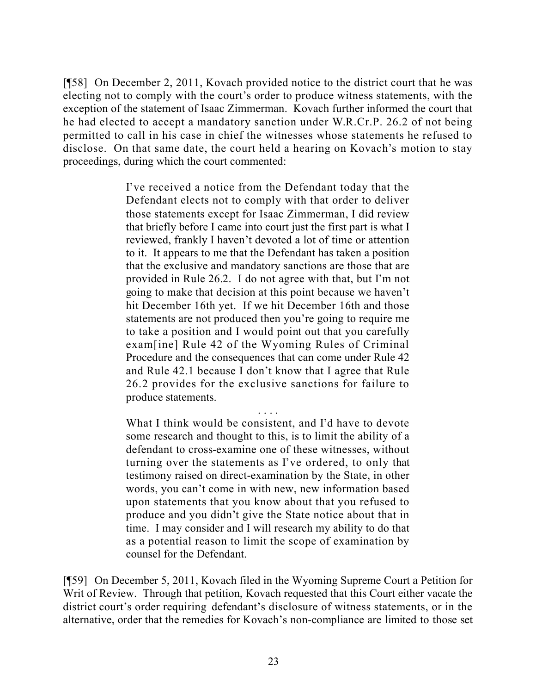[¶58] On December 2, 2011, Kovach provided notice to the district court that he was electing not to comply with the court's order to produce witness statements, with the exception of the statement of Isaac Zimmerman. Kovach further informed the court that he had elected to accept a mandatory sanction under W.R.Cr.P. 26.2 of not being permitted to call in his case in chief the witnesses whose statements he refused to disclose. On that same date, the court held a hearing on Kovach's motion to stay proceedings, during which the court commented:

> I've received a notice from the Defendant today that the Defendant elects not to comply with that order to deliver those statements except for Isaac Zimmerman, I did review that briefly before I came into court just the first part is what I reviewed, frankly I haven't devoted a lot of time or attention to it. It appears to me that the Defendant has taken a position that the exclusive and mandatory sanctions are those that are provided in Rule 26.2. I do not agree with that, but I'm not going to make that decision at this point because we haven't hit December 16th yet. If we hit December 16th and those statements are not produced then you're going to require me to take a position and I would point out that you carefully exam[ine] Rule 42 of the Wyoming Rules of Criminal Procedure and the consequences that can come under Rule 42 and Rule 42.1 because I don't know that I agree that Rule 26.2 provides for the exclusive sanctions for failure to produce statements.

. . . . What I think would be consistent, and I'd have to devote some research and thought to this, is to limit the ability of a defendant to cross-examine one of these witnesses, without turning over the statements as I've ordered, to only that testimony raised on direct-examination by the State, in other words, you can't come in with new, new information based upon statements that you know about that you refused to produce and you didn't give the State notice about that in time. I may consider and I will research my ability to do that as a potential reason to limit the scope of examination by counsel for the Defendant.

[¶59] On December 5, 2011, Kovach filed in the Wyoming Supreme Court a Petition for Writ of Review. Through that petition, Kovach requested that this Court either vacate the district court's order requiring defendant's disclosure of witness statements, or in the alternative, order that the remedies for Kovach's non-compliance are limited to those set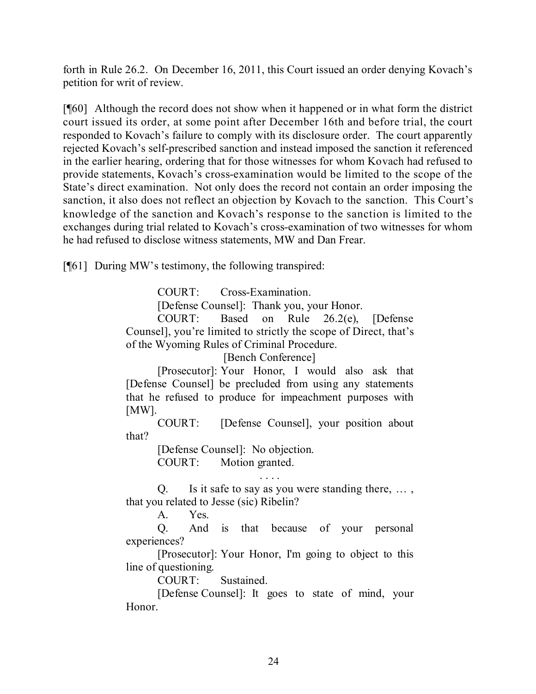forth in Rule 26.2. On December 16, 2011, this Court issued an order denying Kovach's petition for writ of review.

[¶60] Although the record does not show when it happened or in what form the district court issued its order, at some point after December 16th and before trial, the court responded to Kovach's failure to comply with its disclosure order. The court apparently rejected Kovach's self-prescribed sanction and instead imposed the sanction it referenced in the earlier hearing, ordering that for those witnesses for whom Kovach had refused to provide statements, Kovach's cross-examination would be limited to the scope of the State's direct examination. Not only does the record not contain an order imposing the sanction, it also does not reflect an objection by Kovach to the sanction. This Court's knowledge of the sanction and Kovach's response to the sanction is limited to the exchanges during trial related to Kovach's cross-examination of two witnesses for whom he had refused to disclose witness statements, MW and Dan Frear.

[¶61] During MW's testimony, the following transpired:

COURT: Cross-Examination.

[Defense Counsel]: Thank you, your Honor.

COURT: Based on Rule 26.2(e), [Defense Counsel], you're limited to strictly the scope of Direct, that's of the Wyoming Rules of Criminal Procedure.

[Bench Conference]

[Prosecutor]: Your Honor, I would also ask that [Defense Counsel] be precluded from using any statements that he refused to produce for impeachment purposes with [MW].

COURT: [Defense Counsel], your position about that?

[Defense Counsel]: No objection.

COURT: Motion granted.

Q. Is it safe to say as you were standing there, … , that you related to Jesse (sic) Ribelin?

. . . .

A. Yes.

Q. And is that because of your personal experiences?

[Prosecutor]: Your Honor, I'm going to object to this line of questioning.

COURT: Sustained.

[Defense Counsel]: It goes to state of mind, your Honor.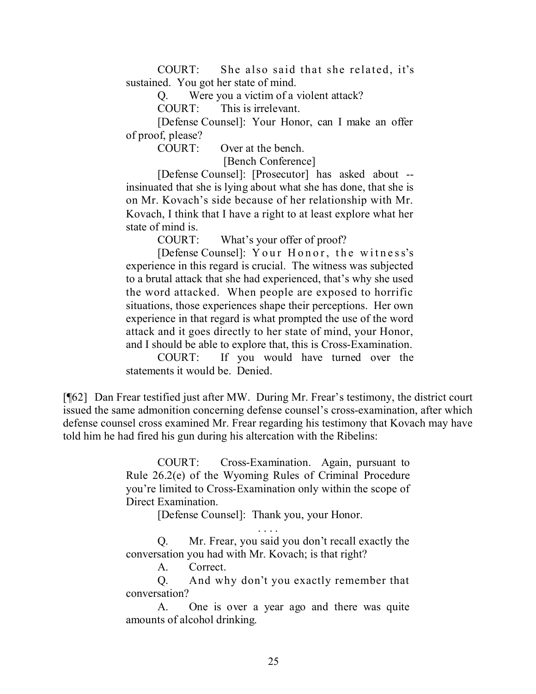COURT: She also said that she related, it's sustained. You got her state of mind.

Q. Were you a victim of a violent attack?

COURT: This is irrelevant.

[Defense Counsel]: Your Honor, can I make an offer of proof, please?

COURT: Over at the bench.

[Bench Conference]

[Defense Counsel]: [Prosecutor] has asked about - insinuated that she is lying about what she has done, that she is on Mr. Kovach's side because of her relationship with Mr. Kovach, I think that I have a right to at least explore what her state of mind is.

COURT: What's your offer of proof?

[Defense Counsel]: Your Honor, the witness's experience in this regard is crucial. The witness was subjected to a brutal attack that she had experienced, that's why she used the word attacked. When people are exposed to horrific situations, those experiences shape their perceptions. Her own experience in that regard is what prompted the use of the word attack and it goes directly to her state of mind, your Honor, and I should be able to explore that, this is Cross-Examination.

COURT: If you would have turned over the statements it would be. Denied.

[¶62] Dan Frear testified just after MW. During Mr. Frear's testimony, the district court issued the same admonition concerning defense counsel's cross-examination, after which defense counsel cross examined Mr. Frear regarding his testimony that Kovach may have told him he had fired his gun during his altercation with the Ribelins:

> COURT: Cross-Examination. Again, pursuant to Rule 26.2(e) of the Wyoming Rules of Criminal Procedure you're limited to Cross-Examination only within the scope of Direct Examination.

> > [Defense Counsel]: Thank you, your Honor.

. . . . Q. Mr. Frear, you said you don't recall exactly the conversation you had with Mr. Kovach; is that right?

A. Correct.

Q. And why don't you exactly remember that conversation?

A. One is over a year ago and there was quite amounts of alcohol drinking.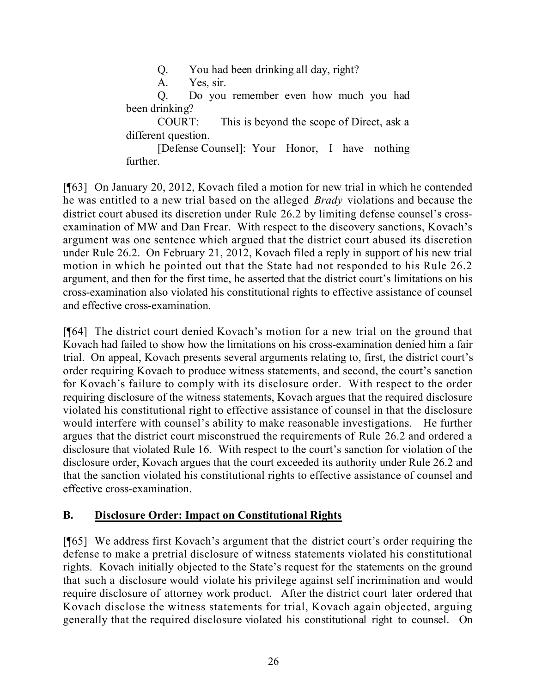Q. You had been drinking all day, right?

A. Yes, sir.

Q. Do you remember even how much you had been drinking?

COURT: This is beyond the scope of Direct, ask a different question.

[Defense Counsel]: Your Honor, I have nothing further.

[¶63] On January 20, 2012, Kovach filed a motion for new trial in which he contended he was entitled to a new trial based on the alleged *Brady* violations and because the district court abused its discretion under Rule 26.2 by limiting defense counsel's crossexamination of MW and Dan Frear. With respect to the discovery sanctions, Kovach's argument was one sentence which argued that the district court abused its discretion under Rule 26.2. On February 21, 2012, Kovach filed a reply in support of his new trial motion in which he pointed out that the State had not responded to his Rule 26.2 argument, and then for the first time, he asserted that the district court's limitations on his cross-examination also violated his constitutional rights to effective assistance of counsel and effective cross-examination.

[¶64] The district court denied Kovach's motion for a new trial on the ground that Kovach had failed to show how the limitations on his cross-examination denied him a fair trial. On appeal, Kovach presents several arguments relating to, first, the district court's order requiring Kovach to produce witness statements, and second, the court's sanction for Kovach's failure to comply with its disclosure order. With respect to the order requiring disclosure of the witness statements, Kovach argues that the required disclosure violated his constitutional right to effective assistance of counsel in that the disclosure would interfere with counsel's ability to make reasonable investigations. He further argues that the district court misconstrued the requirements of Rule 26.2 and ordered a disclosure that violated Rule 16. With respect to the court's sanction for violation of the disclosure order, Kovach argues that the court exceeded its authority under Rule 26.2 and that the sanction violated his constitutional rights to effective assistance of counsel and effective cross-examination.

# **B. Disclosure Order: Impact on Constitutional Rights**

[¶65] We address first Kovach's argument that the district court's order requiring the defense to make a pretrial disclosure of witness statements violated his constitutional rights. Kovach initially objected to the State's request for the statements on the ground that such a disclosure would violate his privilege against self incrimination and would require disclosure of attorney work product. After the district court later ordered that Kovach disclose the witness statements for trial, Kovach again objected, arguing generally that the required disclosure violated his constitutional right to counsel. On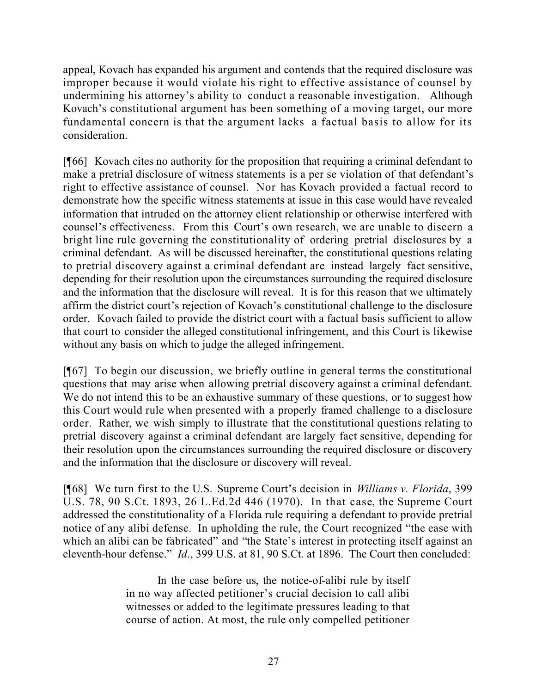appeal, Kovach has expanded his argument and contends that the required disclosure was improper because it would violate his right to effective assistance of counsel by undermining his attorney's ability to conduct a reasonable investigation. Although Kovach's constitutional argument has been something of a moving target, our more fundamental concern is that the argument lacks a factual basis to allow for its consideration.

[¶66] Kovach cites no authority for the proposition that requiring a criminal defendant to make a pretrial disclosure of witness statements is a per se violation of that defendant's right to effective assistance of counsel. Nor has Kovach provided a factual record to demonstrate how the specific witness statements at issue in this case would have revealed information that intruded on the attorney client relationship or otherwise interfered with counsel's effectiveness. From this Court's own research, we are unable to discern a bright line rule governing the constitutionality of ordering pretrial disclosures by a criminal defendant. As will be discussed hereinafter, the constitutional questions relating to pretrial discovery against a criminal defendant are instead largely fact sensitive, depending for their resolution upon the circumstances surrounding the required disclosure and the information that the disclosure will reveal. It is for this reason that we ultimately affirm the district court's rejection of Kovach's constitutional challenge to the disclosure order. Kovach failed to provide the district court with a factual basis sufficient to allow that court to consider the alleged constitutional infringement, and this Court is likewise without any basis on which to judge the alleged infringement.

[¶67] To begin our discussion, we briefly outline in general terms the constitutional questions that may arise when allowing pretrial discovery against a criminal defendant. We do not intend this to be an exhaustive summary of these questions, or to suggest how this Court would rule when presented with a properly framed challenge to a disclosure order. Rather, we wish simply to illustrate that the constitutional questions relating to pretrial discovery against a criminal defendant are largely fact sensitive, depending for their resolution upon the circumstances surrounding the required disclosure or discovery and the information that the disclosure or discovery will reveal.

[¶68] We turn first to the U.S. Supreme Court's decision in *Williams v. Florida*, 399 U.S. 78, 90 S.Ct. 1893, 26 L.Ed.2d 446 (1970). In that case, the Supreme Court addressed the constitutionality of a Florida rule requiring a defendant to provide pretrial notice of any alibi defense. In upholding the rule, the Court recognized "the ease with which an alibi can be fabricated" and "the State's interest in protecting itself against an eleventh-hour defense." *Id*., 399 U.S. at 81, 90 S.Ct. at 1896. The Court then concluded:

> In the case before us, the notice-of-alibi rule by itself in no way affected petitioner's crucial decision to call alibi witnesses or added to the legitimate pressures leading to that course of action. At most, the rule only compelled petitioner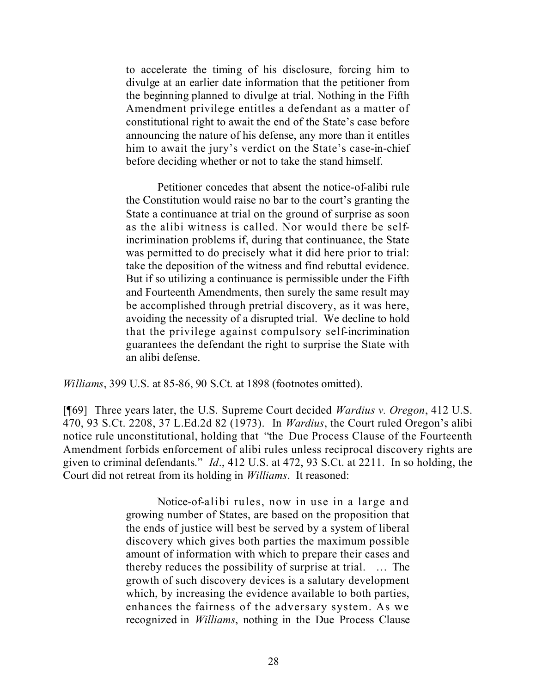to accelerate the timing of his disclosure, forcing him to divulge at an earlier date information that the petitioner from the beginning planned to divulge at trial. Nothing in the Fifth Amendment privilege entitles a defendant as a matter of constitutional right to await the end of the State's case before announcing the nature of his defense, any more than it entitles him to await the jury's verdict on the State's case-in-chief before deciding whether or not to take the stand himself.

Petitioner concedes that absent the notice-of-alibi rule the Constitution would raise no bar to the court's granting the State a continuance at trial on the ground of surprise as soon as the alibi witness is called. Nor would there be selfincrimination problems if, during that continuance, the State was permitted to do precisely what it did here prior to trial: take the deposition of the witness and find rebuttal evidence. But if so utilizing a continuance is permissible under the Fifth and Fourteenth Amendments, then surely the same result may be accomplished through pretrial discovery, as it was here, avoiding the necessity of a disrupted trial. We decline to hold that the privilege against compulsory self-incrimination guarantees the defendant the right to surprise the State with an alibi defense.

*Williams*, 399 U.S. at 85-86, 90 S.Ct. at 1898 (footnotes omitted).

[¶69] Three years later, the U.S. Supreme Court decided *Wardius v. Oregon*, 412 U.S. 470, 93 S.Ct. 2208, 37 L.Ed.2d 82 (1973). In *Wardius*, the Court ruled Oregon's alibi notice rule unconstitutional, holding that "the Due Process Clause of the Fourteenth Amendment forbids enforcement of alibi rules unless reciprocal discovery rights are given to criminal defendants." *Id*., 412 U.S. at 472, 93 S.Ct. at 2211. In so holding, the Court did not retreat from its holding in *Williams*. It reasoned:

> Notice-of-alibi rules, now in use in a large and growing number of States, are based on the proposition that the ends of justice will best be served by a system of liberal discovery which gives both parties the maximum possible amount of information with which to prepare their cases and thereby reduces the possibility of surprise at trial. … The growth of such discovery devices is a salutary development which, by increasing the evidence available to both parties, enhances the fairness of the adversary system. As we recognized in *Williams*, nothing in the Due Process Clause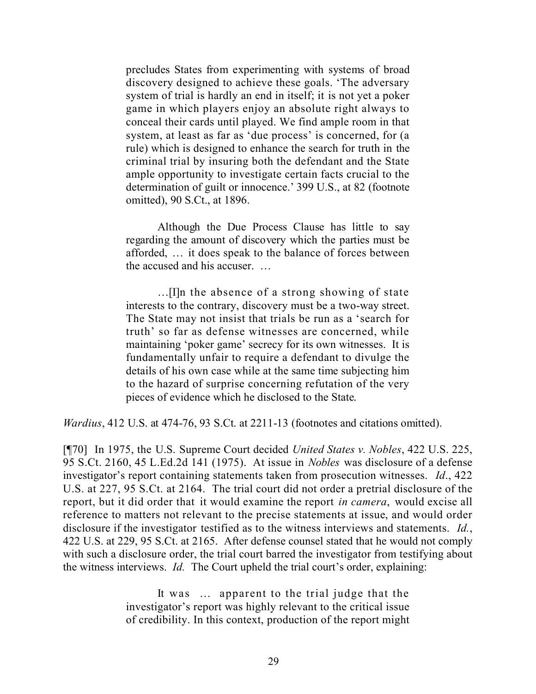precludes States from experimenting with systems of broad discovery designed to achieve these goals. 'The adversary system of trial is hardly an end in itself; it is not yet a poker game in which players enjoy an absolute right always to conceal their cards until played. We find ample room in that system, at least as far as 'due process' is concerned, for (a rule) which is designed to enhance the search for truth in the criminal trial by insuring both the defendant and the State ample opportunity to investigate certain facts crucial to the determination of guilt or innocence.' 399 U.S., at 82 (footnote omitted), 90 S.Ct., at 1896.

Although the Due Process Clause has little to say regarding the amount of discovery which the parties must be afforded, … it does speak to the balance of forces between the accused and his accuser. …

…[I]n the absence of a strong showing of state interests to the contrary, discovery must be a two-way street. The State may not insist that trials be run as a 'search for truth' so far as defense witnesses are concerned, while maintaining 'poker game' secrecy for its own witnesses. It is fundamentally unfair to require a defendant to divulge the details of his own case while at the same time subjecting him to the hazard of surprise concerning refutation of the very pieces of evidence which he disclosed to the State.

*Wardius*, 412 U.S. at 474-76, 93 S.Ct. at 2211-13 (footnotes and citations omitted).

[¶70] In 1975, the U.S. Supreme Court decided *United States v. Nobles*, 422 U.S. 225, 95 S.Ct. 2160, 45 L.Ed.2d 141 (1975). At issue in *Nobles* was disclosure of a defense investigator's report containing statements taken from prosecution witnesses. *Id*., 422 U.S. at 227, 95 S.Ct. at 2164. The trial court did not order a pretrial disclosure of the report, but it did order that it would examine the report *in camera*, would excise all reference to matters not relevant to the precise statements at issue, and would order disclosure if the investigator testified as to the witness interviews and statements. *Id.*, 422 U.S. at 229, 95 S.Ct. at 2165. After defense counsel stated that he would not comply with such a disclosure order, the trial court barred the investigator from testifying about the witness interviews. *Id.* The Court upheld the trial court's order, explaining:

> It was … apparent to the trial judge that the investigator's report was highly relevant to the critical issue of credibility. In this context, production of the report might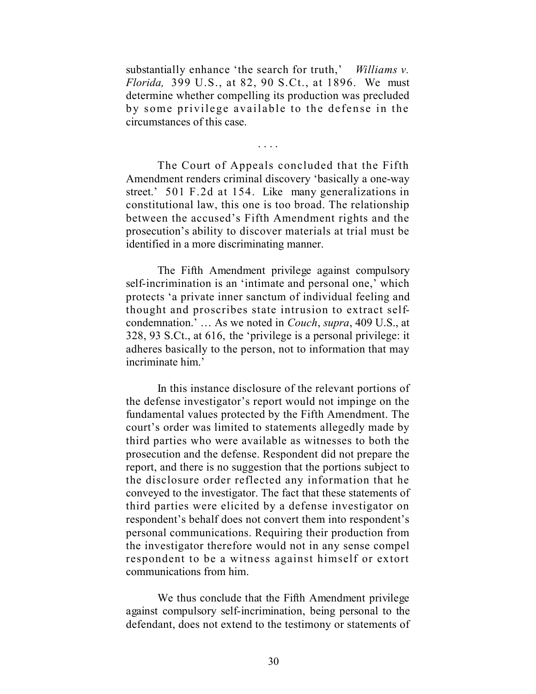substantially enhance 'the search for truth,' *Williams v. Florida,* 399 U.S., at 82, 90 S.Ct., at 1896. We must determine whether compelling its production was precluded by some privilege available to the defense in the circumstances of this case.

. . . .

The Court of Appeals concluded that the Fifth Amendment renders criminal discovery 'basically a one-way street.' 501 F.2d at 154. Like many generalizations in constitutional law, this one is too broad. The relationship between the accused's Fifth Amendment rights and the prosecution's ability to discover materials at trial must be identified in a more discriminating manner.

The Fifth Amendment privilege against compulsory self-incrimination is an 'intimate and personal one,' which protects 'a private inner sanctum of individual feeling and thought and proscribes state intrusion to extract selfcondemnation.' … As we noted in *Couch*, *supra*, 409 U.S., at 328, 93 S.Ct., at 616, the 'privilege is a personal privilege: it adheres basically to the person, not to information that may incriminate him.'

In this instance disclosure of the relevant portions of the defense investigator's report would not impinge on the fundamental values protected by the Fifth Amendment. The court's order was limited to statements allegedly made by third parties who were available as witnesses to both the prosecution and the defense. Respondent did not prepare the report, and there is no suggestion that the portions subject to the disclosure order reflected any information that he conveyed to the investigator. The fact that these statements of third parties were elicited by a defense investigator on respondent's behalf does not convert them into respondent's personal communications. Requiring their production from the investigator therefore would not in any sense compel respondent to be a witness against himself or extort communications from him.

We thus conclude that the Fifth Amendment privilege against compulsory self-incrimination, being personal to the defendant, does not extend to the testimony or statements of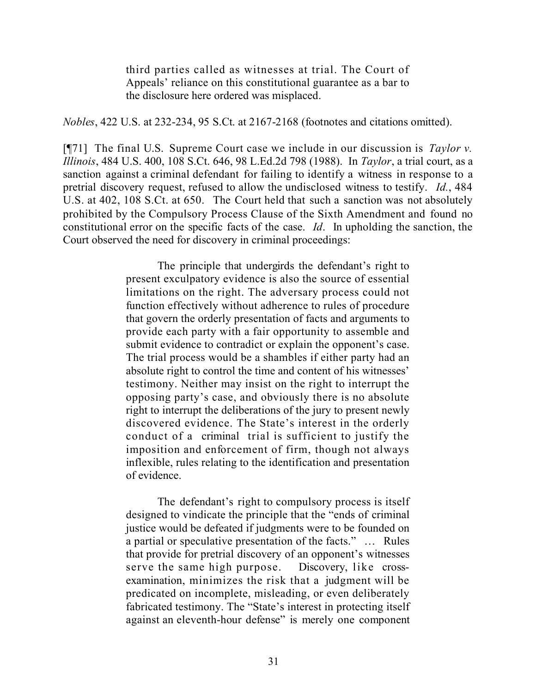third parties called as witnesses at trial. The Court of Appeals' reliance on this constitutional guarantee as a bar to the disclosure here ordered was misplaced.

*Nobles*, 422 U.S. at 232-234, 95 S.Ct. at 2167-2168 (footnotes and citations omitted).

[¶71] The final U.S. Supreme Court case we include in our discussion is *Taylor v. Illinois*, 484 U.S. 400, 108 S.Ct. 646, 98 L.Ed.2d 798 (1988). In *Taylor*, a trial court, as a sanction against a criminal defendant for failing to identify a witness in response to a pretrial discovery request, refused to allow the undisclosed witness to testify. *Id.*, 484 U.S. at 402, 108 S.Ct. at 650. The Court held that such a sanction was not absolutely prohibited by the Compulsory Process Clause of the Sixth Amendment and found no constitutional error on the specific facts of the case. *Id*. In upholding the sanction, the Court observed the need for discovery in criminal proceedings:

> The principle that undergirds the defendant's right to present exculpatory evidence is also the source of essential limitations on the right. The adversary process could not function effectively without adherence to rules of procedure that govern the orderly presentation of facts and arguments to provide each party with a fair opportunity to assemble and submit evidence to contradict or explain the opponent's case. The trial process would be a shambles if either party had an absolute right to control the time and content of his witnesses' testimony. Neither may insist on the right to interrupt the opposing party's case, and obviously there is no absolute right to interrupt the deliberations of the jury to present newly discovered evidence. The State's interest in the orderly conduct of a criminal trial is sufficient to justify the imposition and enforcement of firm, though not always inflexible, rules relating to the identification and presentation of evidence.

> The defendant's right to compulsory process is itself designed to vindicate the principle that the "ends of criminal justice would be defeated if judgments were to be founded on a partial or speculative presentation of the facts." … Rules that provide for pretrial discovery of an opponent's witnesses serve the same high purpose. Discovery, like crossexamination, minimizes the risk that a judgment will be predicated on incomplete, misleading, or even deliberately fabricated testimony. The "State's interest in protecting itself against an eleventh-hour defense" is merely one component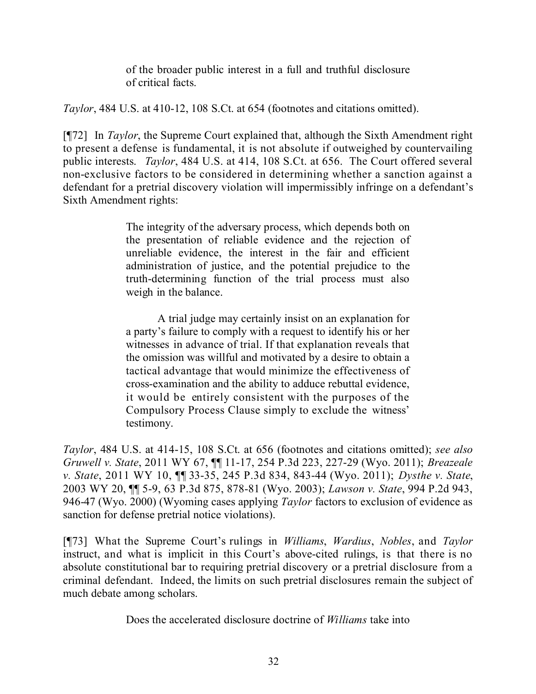of the broader public interest in a full and truthful disclosure of critical facts.

*Taylor*, 484 U.S. at 410-12, 108 S.Ct. at 654 (footnotes and citations omitted).

[¶72] In *Taylor*, the Supreme Court explained that, although the Sixth Amendment right to present a defense is fundamental, it is not absolute if outweighed by countervailing public interests. *Taylor*, 484 U.S. at 414, 108 S.Ct. at 656. The Court offered several non-exclusive factors to be considered in determining whether a sanction against a defendant for a pretrial discovery violation will impermissibly infringe on a defendant's Sixth Amendment rights:

> The integrity of the adversary process, which depends both on the presentation of reliable evidence and the rejection of unreliable evidence, the interest in the fair and efficient administration of justice, and the potential prejudice to the truth-determining function of the trial process must also weigh in the balance.

> A trial judge may certainly insist on an explanation for a party's failure to comply with a request to identify his or her witnesses in advance of trial. If that explanation reveals that the omission was willful and motivated by a desire to obtain a tactical advantage that would minimize the effectiveness of cross-examination and the ability to adduce rebuttal evidence, it would be entirely consistent with the purposes of the Compulsory Process Clause simply to exclude the witness' testimony.

*Taylor*, 484 U.S. at 414-15, 108 S.Ct. at 656 (footnotes and citations omitted); *see also Gruwell v. State*, 2011 WY 67, ¶¶ 11-17, 254 P.3d 223, 227-29 (Wyo. 2011); *Breazeale v. State*, 2011 WY 10, ¶¶ 33-35, 245 P.3d 834, 843-44 (Wyo. 2011); *Dysthe v. State*, 2003 WY 20, ¶¶ 5-9, 63 P.3d 875, 878-81 (Wyo. 2003); *Lawson v. State*, 994 P.2d 943, 946-47 (Wyo. 2000) (Wyoming cases applying *Taylor* factors to exclusion of evidence as sanction for defense pretrial notice violations).

[¶73] What the Supreme Court's rulings in *Williams*, *Wardius*, *Nobles*, and *Taylor* instruct, and what is implicit in this Court's above-cited rulings, is that there is no absolute constitutional bar to requiring pretrial discovery or a pretrial disclosure from a criminal defendant. Indeed, the limits on such pretrial disclosures remain the subject of much debate among scholars.

Does the accelerated disclosure doctrine of *Williams* take into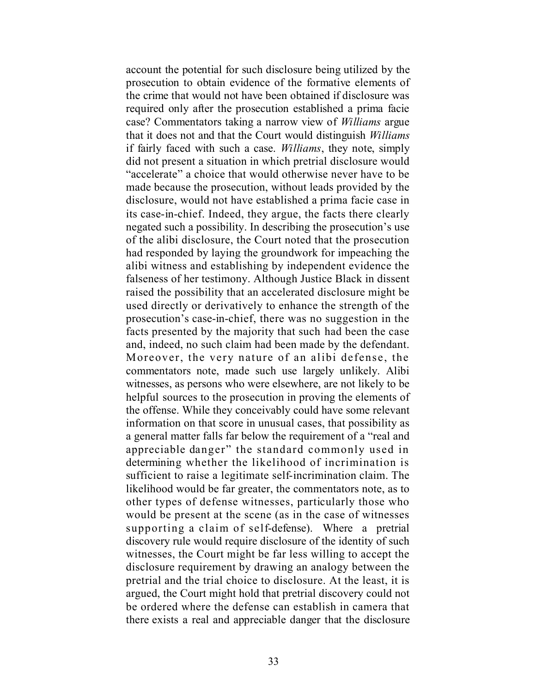account the potential for such disclosure being utilized by the prosecution to obtain evidence of the formative elements of the crime that would not have been obtained if disclosure was required only after the prosecution established a prima facie case? Commentators taking a narrow view of *Williams* argue that it does not and that the Court would distinguish *Williams* if fairly faced with such a case. *Williams*, they note, simply did not present a situation in which pretrial disclosure would "accelerate" a choice that would otherwise never have to be made because the prosecution, without leads provided by the disclosure, would not have established a prima facie case in its case-in-chief. Indeed, they argue, the facts there clearly negated such a possibility. In describing the prosecution's use of the alibi disclosure, the Court noted that the prosecution had responded by laying the groundwork for impeaching the alibi witness and establishing by independent evidence the falseness of her testimony. Although Justice Black in dissent raised the possibility that an accelerated disclosure might be used directly or derivatively to enhance the strength of the prosecution's case-in-chief, there was no suggestion in the facts presented by the majority that such had been the case and, indeed, no such claim had been made by the defendant. Moreover, the very nature of an alibi defense, the commentators note, made such use largely unlikely. Alibi witnesses, as persons who were elsewhere, are not likely to be helpful sources to the prosecution in proving the elements of the offense. While they conceivably could have some relevant information on that score in unusual cases, that possibility as a general matter falls far below the requirement of a "real and appreciable danger" the standard commonly used in determining whether the likelihood of incrimination is sufficient to raise a legitimate self-incrimination claim. The likelihood would be far greater, the commentators note, as to other types of defense witnesses, particularly those who would be present at the scene (as in the case of witnesses supporting a claim of self-defense). Where a pretrial discovery rule would require disclosure of the identity of such witnesses, the Court might be far less willing to accept the disclosure requirement by drawing an analogy between the pretrial and the trial choice to disclosure. At the least, it is argued, the Court might hold that pretrial discovery could not be ordered where the defense can establish in camera that there exists a real and appreciable danger that the disclosure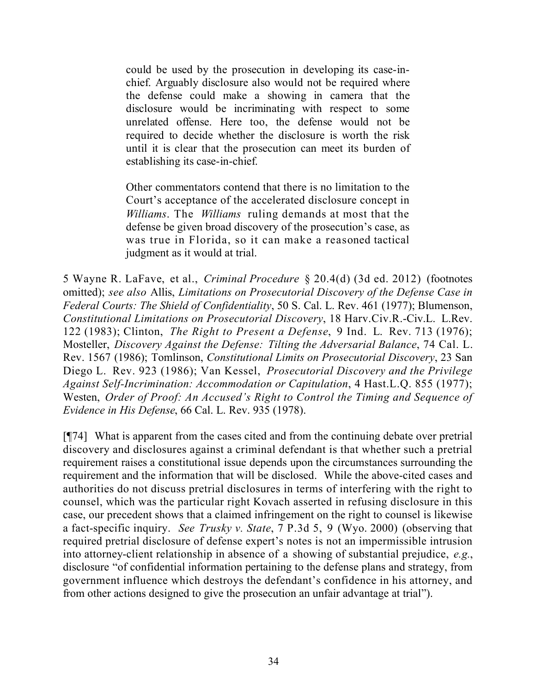could be used by the prosecution in developing its case-inchief. Arguably disclosure also would not be required where the defense could make a showing in camera that the disclosure would be incriminating with respect to some unrelated offense. Here too, the defense would not be required to decide whether the disclosure is worth the risk until it is clear that the prosecution can meet its burden of establishing its case-in-chief.

Other commentators contend that there is no limitation to the Court's acceptance of the accelerated disclosure concept in *Williams*. The *Williams* ruling demands at most that the defense be given broad discovery of the prosecution's case, as was true in Florida, so it can make a reasoned tactical judgment as it would at trial.

5 Wayne R. LaFave, et al., *Criminal Procedure* § 20.4(d) (3d ed. 2012) (footnotes omitted); *see also* Allis, *Limitations on Prosecutorial Discovery of the Defense Case in Federal Courts: The Shield of Confidentiality*, 50 S. Cal. L. Rev. 461 (1977); Blumenson, *Constitutional Limitations on Prosecutorial Discovery*, 18 Harv.Civ.R.-Civ.L. L.Rev. 122 (1983); Clinton, *The Right to Present a Defense*, 9 Ind. L. Rev. 713 (1976); Mosteller, *Discovery Against the Defense: Tilting the Adversarial Balance*, 74 Cal. L. Rev. 1567 (1986); Tomlinson, *Constitutional Limits on Prosecutorial Discovery*, 23 San Diego L. Rev. 923 (1986); Van Kessel, *Prosecutorial Discovery and the Privilege Against Self-Incrimination: Accommodation or Capitulation*, 4 Hast.L.Q. 855 (1977); Westen, *Order of Proof: An Accused's Right to Control the Timing and Sequence of Evidence in His Defense*, 66 Cal. L. Rev. 935 (1978).

[¶74] What is apparent from the cases cited and from the continuing debate over pretrial discovery and disclosures against a criminal defendant is that whether such a pretrial requirement raises a constitutional issue depends upon the circumstances surrounding the requirement and the information that will be disclosed. While the above-cited cases and authorities do not discuss pretrial disclosures in terms of interfering with the right to counsel, which was the particular right Kovach asserted in refusing disclosure in this case, our precedent shows that a claimed infringement on the right to counsel is likewise a fact-specific inquiry. *See Trusky v. State*, 7 P.3d 5, 9 (Wyo. 2000) (observing that required pretrial disclosure of defense expert's notes is not an impermissible intrusion into attorney-client relationship in absence of a showing of substantial prejudice, *e.g.*, disclosure "of confidential information pertaining to the defense plans and strategy, from government influence which destroys the defendant's confidence in his attorney, and from other actions designed to give the prosecution an unfair advantage at trial").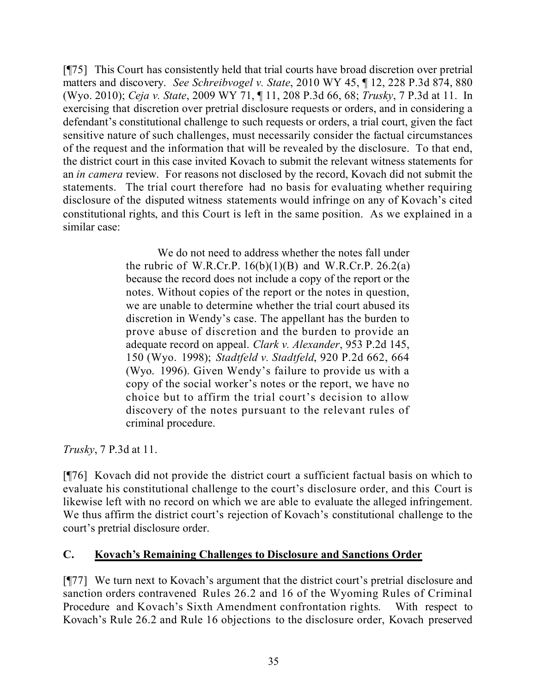[¶75] This Court has consistently held that trial courts have broad discretion over pretrial matters and discovery. *See Schreibvogel v. State*, 2010 WY 45, ¶ 12, 228 P.3d 874, 880 (Wyo. 2010); *Ceja v. State*, 2009 WY 71, ¶ 11, 208 P.3d 66, 68; *Trusky*, 7 P.3d at 11. In exercising that discretion over pretrial disclosure requests or orders, and in considering a defendant's constitutional challenge to such requests or orders, a trial court, given the fact sensitive nature of such challenges, must necessarily consider the factual circumstances of the request and the information that will be revealed by the disclosure. To that end, the district court in this case invited Kovach to submit the relevant witness statements for an *in camera* review. For reasons not disclosed by the record, Kovach did not submit the statements. The trial court therefore had no basis for evaluating whether requiring disclosure of the disputed witness statements would infringe on any of Kovach's cited constitutional rights, and this Court is left in the same position. As we explained in a similar case:

> We do not need to address whether the notes fall under the rubric of W.R.Cr.P.  $16(b)(1)(B)$  and W.R.Cr.P.  $26.2(a)$ because the record does not include a copy of the report or the notes. Without copies of the report or the notes in question, we are unable to determine whether the trial court abused its discretion in Wendy's case. The appellant has the burden to prove abuse of discretion and the burden to provide an adequate record on appeal. *Clark v. Alexander*, 953 P.2d 145, 150 (Wyo. 1998); *Stadtfeld v. Stadtfeld*, 920 P.2d 662, 664 (Wyo. 1996). Given Wendy's failure to provide us with a copy of the social worker's notes or the report, we have no choice but to affirm the trial court's decision to allow discovery of the notes pursuant to the relevant rules of criminal procedure.

*Trusky*, 7 P.3d at 11.

[¶76] Kovach did not provide the district court a sufficient factual basis on which to evaluate his constitutional challenge to the court's disclosure order, and this Court is likewise left with no record on which we are able to evaluate the alleged infringement. We thus affirm the district court's rejection of Kovach's constitutional challenge to the court's pretrial disclosure order.

## **C. Kovach's Remaining Challenges to Disclosure and Sanctions Order**

[¶77] We turn next to Kovach's argument that the district court's pretrial disclosure and sanction orders contravened Rules 26.2 and 16 of the Wyoming Rules of Criminal Procedure and Kovach's Sixth Amendment confrontation rights. With respect to Kovach's Rule 26.2 and Rule 16 objections to the disclosure order, Kovach preserved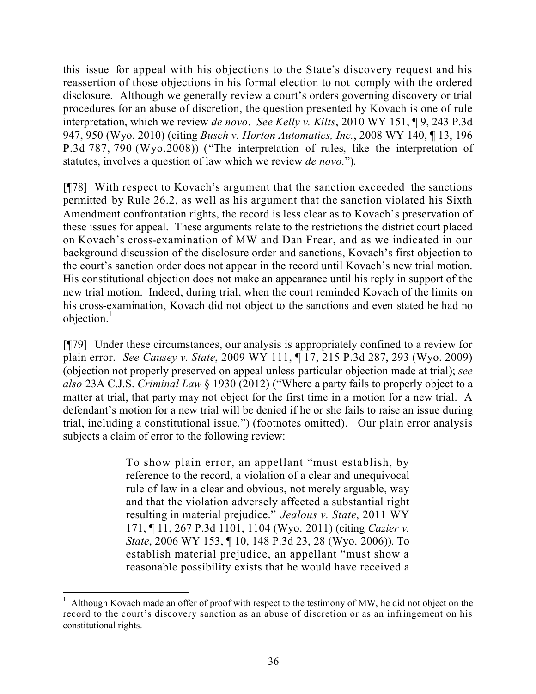this issue for appeal with his objections to the State's discovery request and his reassertion of those objections in his formal election to not comply with the ordered disclosure. Although we generally review a court's orders governing discovery or trial procedures for an abuse of discretion, the question presented by Kovach is one of rule interpretation, which we review *de novo*. *See Kelly v. Kilts*, 2010 WY 151, ¶ 9, 243 P.3d 947, 950 (Wyo. 2010) (citing *Busch v. Horton Automatics, Inc.*, 2008 WY 140, ¶ 13, 196 P.3d 787, 790 (Wyo.2008)) ("The interpretation of rules, like the interpretation of statutes, involves a question of law which we review *de novo.*").

[¶78] With respect to Kovach's argument that the sanction exceeded the sanctions permitted by Rule 26.2, as well as his argument that the sanction violated his Sixth Amendment confrontation rights, the record is less clear as to Kovach's preservation of these issues for appeal. These arguments relate to the restrictions the district court placed on Kovach's cross-examination of MW and Dan Frear, and as we indicated in our background discussion of the disclosure order and sanctions, Kovach's first objection to the court's sanction order does not appear in the record until Kovach's new trial motion. His constitutional objection does not make an appearance until his reply in support of the new trial motion. Indeed, during trial, when the court reminded Kovach of the limits on his cross-examination, Kovach did not object to the sanctions and even stated he had no objection. 1

[¶79] Under these circumstances, our analysis is appropriately confined to a review for plain error. *See Causey v. State*, 2009 WY 111, ¶ 17, 215 P.3d 287, 293 (Wyo. 2009) (objection not properly preserved on appeal unless particular objection made at trial); *see also* 23A C.J.S. *Criminal Law* § 1930 (2012) ("Where a party fails to properly object to a matter at trial, that party may not object for the first time in a motion for a new trial. A defendant's motion for a new trial will be denied if he or she fails to raise an issue during trial, including a constitutional issue.") (footnotes omitted). Our plain error analysis subjects a claim of error to the following review:

> To show plain error, an appellant "must establish, by reference to the record, a violation of a clear and unequivocal rule of law in a clear and obvious, not merely arguable, way and that the violation adversely affected a substantial right resulting in material prejudice." *Jealous v. State*, 2011 WY 171, ¶ 11, 267 P.3d 1101, 1104 (Wyo. 2011) (citing *Cazier v. State*, 2006 WY 153, ¶ 10, 148 P.3d 23, 28 (Wyo. 2006)). To establish material prejudice, an appellant "must show a reasonable possibility exists that he would have received a

 <sup>1</sup> Although Kovach made an offer of proof with respect to the testimony of MW, he did not object on the record to the court's discovery sanction as an abuse of discretion or as an infringement on his constitutional rights.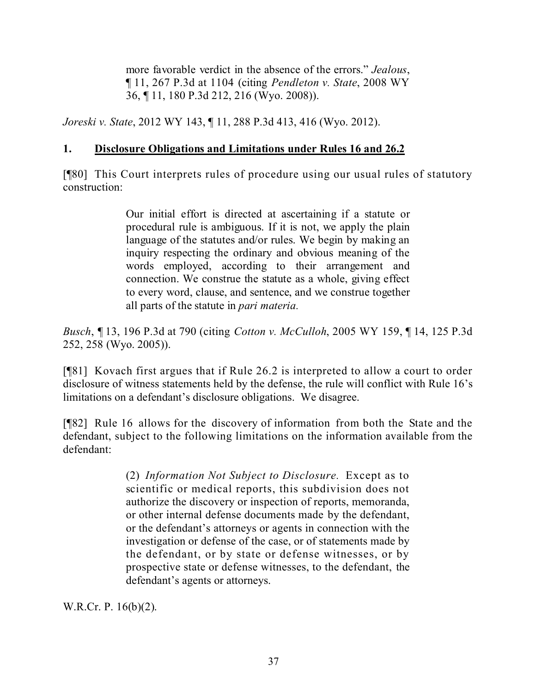more favorable verdict in the absence of the errors." *Jealous*, ¶ 11, 267 P.3d at 1104 (citing *Pendleton v. State*, 2008 WY 36, ¶ 11, 180 P.3d 212, 216 (Wyo. 2008)).

*Joreski v. State*, 2012 WY 143, ¶ 11, 288 P.3d 413, 416 (Wyo. 2012).

#### **1. Disclosure Obligations and Limitations under Rules 16 and 26.2**

[¶80] This Court interprets rules of procedure using our usual rules of statutory construction:

> Our initial effort is directed at ascertaining if a statute or procedural rule is ambiguous. If it is not, we apply the plain language of the statutes and/or rules. We begin by making an inquiry respecting the ordinary and obvious meaning of the words employed, according to their arrangement and connection. We construe the statute as a whole, giving effect to every word, clause, and sentence, and we construe together all parts of the statute in *pari materia.*

*Busch*, ¶ 13, 196 P.3d at 790 (citing *Cotton v. McCulloh*, 2005 WY 159, ¶ 14, 125 P.3d 252, 258 (Wyo. 2005)).

[¶81] Kovach first argues that if Rule 26.2 is interpreted to allow a court to order disclosure of witness statements held by the defense, the rule will conflict with Rule 16's limitations on a defendant's disclosure obligations. We disagree.

[¶82] Rule 16 allows for the discovery of information from both the State and the defendant, subject to the following limitations on the information available from the defendant:

> (2) *Information Not Subject to Disclosure.* Except as to scientific or medical reports, this subdivision does not authorize the discovery or inspection of reports, memoranda, or other internal defense documents made by the defendant, or the defendant's attorneys or agents in connection with the investigation or defense of the case, or of statements made by the defendant, or by state or defense witnesses, or by prospective state or defense witnesses, to the defendant, the defendant's agents or attorneys.

W.R.Cr. P. 16(b)(2).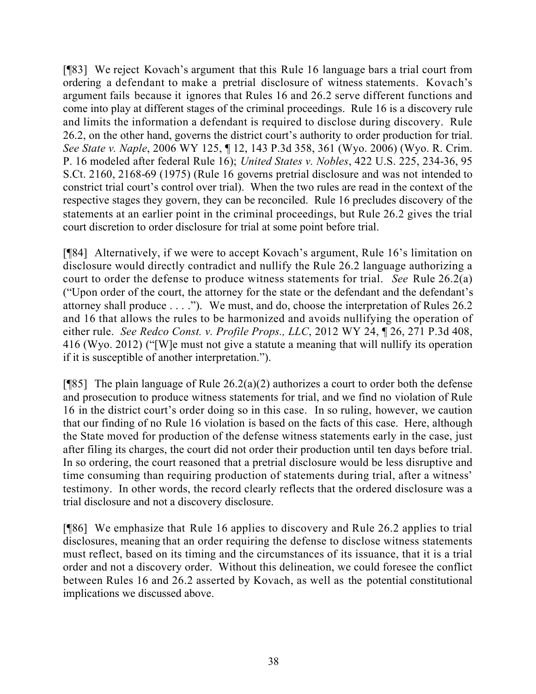[¶83] We reject Kovach's argument that this Rule 16 language bars a trial court from ordering a defendant to make a pretrial disclosure of witness statements. Kovach's argument fails because it ignores that Rules 16 and 26.2 serve different functions and come into play at different stages of the criminal proceedings. Rule 16 is a discovery rule and limits the information a defendant is required to disclose during discovery. Rule 26.2, on the other hand, governs the district court's authority to order production for trial. *See State v. Naple*, 2006 WY 125, ¶ 12, 143 P.3d 358, 361 (Wyo. 2006) (Wyo. R. Crim. P. 16 modeled after federal Rule 16); *United States v. Nobles*, 422 U.S. 225, 234-36, 95 S.Ct. 2160, 2168-69 (1975) (Rule 16 governs pretrial disclosure and was not intended to constrict trial court's control over trial). When the two rules are read in the context of the respective stages they govern, they can be reconciled. Rule 16 precludes discovery of the statements at an earlier point in the criminal proceedings, but Rule 26.2 gives the trial court discretion to order disclosure for trial at some point before trial.

[¶84] Alternatively, if we were to accept Kovach's argument, Rule 16's limitation on disclosure would directly contradict and nullify the Rule 26.2 language authorizing a court to order the defense to produce witness statements for trial. *See* Rule 26.2(a) ("Upon order of the court, the attorney for the state or the defendant and the defendant's attorney shall produce . . . ."). We must, and do, choose the interpretation of Rules 26.2 and 16 that allows the rules to be harmonized and avoids nullifying the operation of either rule. *See Redco Const. v. Profile Props., LLC*, 2012 WY 24, ¶ 26, 271 P.3d 408, 416 (Wyo. 2012) ("[W]e must not give a statute a meaning that will nullify its operation if it is susceptible of another interpretation.").

[ $[$ [85] The plain language of Rule 26.2(a)(2) authorizes a court to order both the defense and prosecution to produce witness statements for trial, and we find no violation of Rule 16 in the district court's order doing so in this case. In so ruling, however, we caution that our finding of no Rule 16 violation is based on the facts of this case. Here, although the State moved for production of the defense witness statements early in the case, just after filing its charges, the court did not order their production until ten days before trial. In so ordering, the court reasoned that a pretrial disclosure would be less disruptive and time consuming than requiring production of statements during trial, after a witness' testimony. In other words, the record clearly reflects that the ordered disclosure was a trial disclosure and not a discovery disclosure.

[¶86] We emphasize that Rule 16 applies to discovery and Rule 26.2 applies to trial disclosures, meaning that an order requiring the defense to disclose witness statements must reflect, based on its timing and the circumstances of its issuance, that it is a trial order and not a discovery order. Without this delineation, we could foresee the conflict between Rules 16 and 26.2 asserted by Kovach, as well as the potential constitutional implications we discussed above.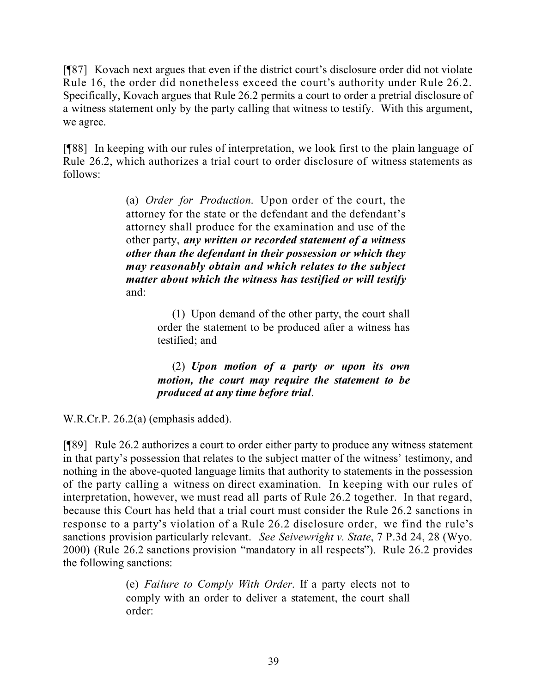[¶87] Kovach next argues that even if the district court's disclosure order did not violate Rule 16, the order did nonetheless exceed the court's authority under Rule 26.2. Specifically, Kovach argues that Rule 26.2 permits a court to order a pretrial disclosure of a witness statement only by the party calling that witness to testify. With this argument, we agree.

[¶88] In keeping with our rules of interpretation, we look first to the plain language of Rule 26.2, which authorizes a trial court to order disclosure of witness statements as follows:

> (a) *Order for Production*. Upon order of the court, the attorney for the state or the defendant and the defendant's attorney shall produce for the examination and use of the other party, *any written or recorded statement of a witness other than the defendant in their possession or which they may reasonably obtain and which relates to the subject matter about which the witness has testified or will testify* and:

> > (1) Upon demand of the other party, the court shall order the statement to be produced after a witness has testified; and

> > (2) *Upon motion of a party or upon its own motion, the court may require the statement to be produced at any time before trial*.

W.R.Cr.P. 26.2(a) (emphasis added).

[¶89] Rule 26.2 authorizes a court to order either party to produce any witness statement in that party's possession that relates to the subject matter of the witness' testimony, and nothing in the above-quoted language limits that authority to statements in the possession of the party calling a witness on direct examination. In keeping with our rules of interpretation, however, we must read all parts of Rule 26.2 together. In that regard, because this Court has held that a trial court must consider the Rule 26.2 sanctions in response to a party's violation of a Rule 26.2 disclosure order, we find the rule's sanctions provision particularly relevant. *See Seivewright v. State*, 7 P.3d 24, 28 (Wyo. 2000) (Rule 26.2 sanctions provision "mandatory in all respects"). Rule 26.2 provides the following sanctions:

> (e) *Failure to Comply With Order*. If a party elects not to comply with an order to deliver a statement, the court shall order: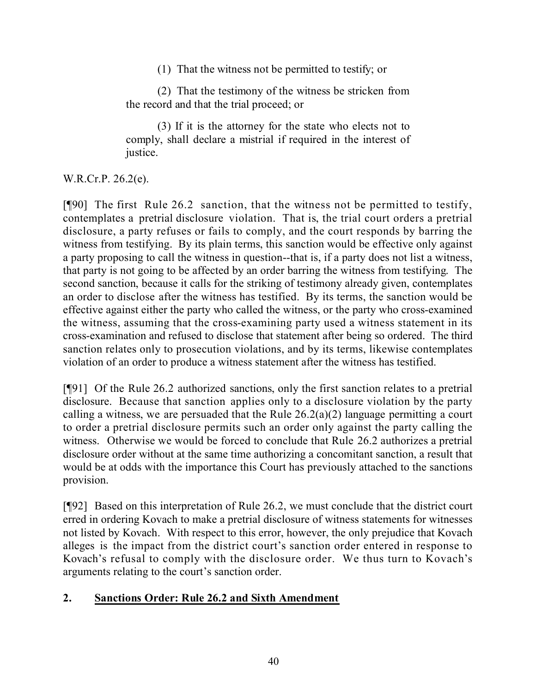(1) That the witness not be permitted to testify; or

(2) That the testimony of the witness be stricken from the record and that the trial proceed; or

(3) If it is the attorney for the state who elects not to comply, shall declare a mistrial if required in the interest of justice.

#### W.R.Cr.P. 26.2(e).

[¶90] The first Rule 26.2 sanction, that the witness not be permitted to testify, contemplates a pretrial disclosure violation. That is, the trial court orders a pretrial disclosure, a party refuses or fails to comply, and the court responds by barring the witness from testifying. By its plain terms, this sanction would be effective only against a party proposing to call the witness in question--that is, if a party does not list a witness, that party is not going to be affected by an order barring the witness from testifying. The second sanction, because it calls for the striking of testimony already given, contemplates an order to disclose after the witness has testified. By its terms, the sanction would be effective against either the party who called the witness, or the party who cross-examined the witness, assuming that the cross-examining party used a witness statement in its cross-examination and refused to disclose that statement after being so ordered. The third sanction relates only to prosecution violations, and by its terms, likewise contemplates violation of an order to produce a witness statement after the witness has testified.

[¶91] Of the Rule 26.2 authorized sanctions, only the first sanction relates to a pretrial disclosure. Because that sanction applies only to a disclosure violation by the party calling a witness, we are persuaded that the Rule  $26.2(a)(2)$  language permitting a court to order a pretrial disclosure permits such an order only against the party calling the witness. Otherwise we would be forced to conclude that Rule 26.2 authorizes a pretrial disclosure order without at the same time authorizing a concomitant sanction, a result that would be at odds with the importance this Court has previously attached to the sanctions provision.

[¶92] Based on this interpretation of Rule 26.2, we must conclude that the district court erred in ordering Kovach to make a pretrial disclosure of witness statements for witnesses not listed by Kovach. With respect to this error, however, the only prejudice that Kovach alleges is the impact from the district court's sanction order entered in response to Kovach's refusal to comply with the disclosure order. We thus turn to Kovach's arguments relating to the court's sanction order.

## **2. Sanctions Order: Rule 26.2 and Sixth Amendment**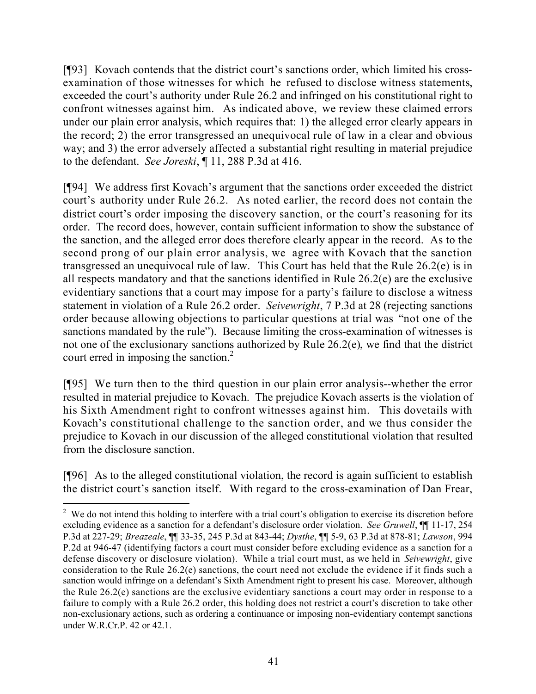[¶93] Kovach contends that the district court's sanctions order, which limited his crossexamination of those witnesses for which he refused to disclose witness statements, exceeded the court's authority under Rule 26.2 and infringed on his constitutional right to confront witnesses against him. As indicated above, we review these claimed errors under our plain error analysis, which requires that: 1) the alleged error clearly appears in the record; 2) the error transgressed an unequivocal rule of law in a clear and obvious way; and 3) the error adversely affected a substantial right resulting in material prejudice to the defendant. *See Joreski*, ¶ 11, 288 P.3d at 416.

[¶94] We address first Kovach's argument that the sanctions order exceeded the district court's authority under Rule 26.2. As noted earlier, the record does not contain the district court's order imposing the discovery sanction, or the court's reasoning for its order. The record does, however, contain sufficient information to show the substance of the sanction, and the alleged error does therefore clearly appear in the record. As to the second prong of our plain error analysis, we agree with Kovach that the sanction transgressed an unequivocal rule of law. This Court has held that the Rule 26.2(e) is in all respects mandatory and that the sanctions identified in Rule 26.2(e) are the exclusive evidentiary sanctions that a court may impose for a party's failure to disclose a witness statement in violation of a Rule 26.2 order. *Seivewright*, 7 P.3d at 28 (rejecting sanctions order because allowing objections to particular questions at trial was "not one of the sanctions mandated by the rule"). Because limiting the cross-examination of witnesses is not one of the exclusionary sanctions authorized by Rule 26.2(e), we find that the district court erred in imposing the sanction. 2

[¶95] We turn then to the third question in our plain error analysis--whether the error resulted in material prejudice to Kovach. The prejudice Kovach asserts is the violation of his Sixth Amendment right to confront witnesses against him. This dovetails with Kovach's constitutional challenge to the sanction order, and we thus consider the prejudice to Kovach in our discussion of the alleged constitutional violation that resulted from the disclosure sanction.

[¶96] As to the alleged constitutional violation, the record is again sufficient to establish the district court's sanction itself. With regard to the cross-examination of Dan Frear,

 <sup>2</sup> We do not intend this holding to interfere with a trial court's obligation to exercise its discretion before excluding evidence as a sanction for a defendant's disclosure order violation. *See Gruwell*, ¶¶ 11-17, 254 P.3d at 227-29; *Breazeale*, ¶¶ 33-35, 245 P.3d at 843-44; *Dysthe*, ¶¶ 5-9, 63 P.3d at 878-81; *Lawson*, 994 P.2d at 946-47 (identifying factors a court must consider before excluding evidence as a sanction for a defense discovery or disclosure violation). While a trial court must, as we held in *Seivewright*, give consideration to the Rule 26.2(e) sanctions, the court need not exclude the evidence if it finds such a sanction would infringe on a defendant's Sixth Amendment right to present his case. Moreover, although the Rule 26.2(e) sanctions are the exclusive evidentiary sanctions a court may order in response to a failure to comply with a Rule 26.2 order, this holding does not restrict a court's discretion to take other non-exclusionary actions, such as ordering a continuance or imposing non-evidentiary contempt sanctions under W.R.Cr.P. 42 or 42.1.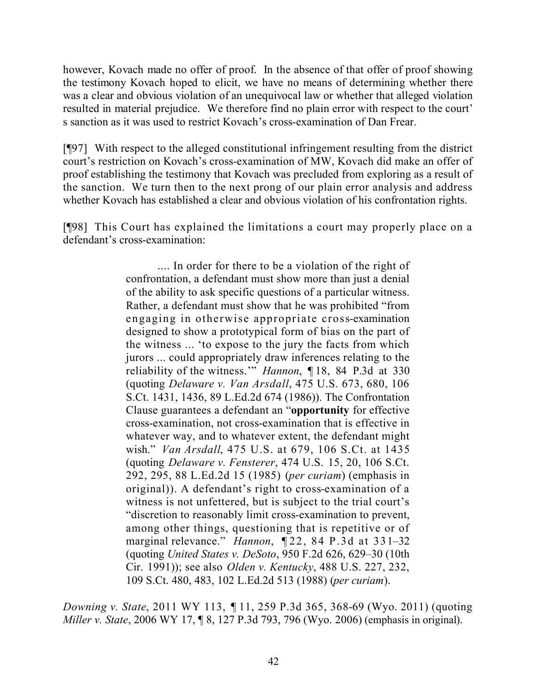however, Kovach made no offer of proof. In the absence of that offer of proof showing the testimony Kovach hoped to elicit, we have no means of determining whether there was a clear and obvious violation of an unequivocal law or whether that alleged violation resulted in material prejudice. We therefore find no plain error with respect to the court' s sanction as it was used to restrict Kovach's cross-examination of Dan Frear.

[¶97] With respect to the alleged constitutional infringement resulting from the district court's restriction on Kovach's cross-examination of MW, Kovach did make an offer of proof establishing the testimony that Kovach was precluded from exploring as a result of the sanction. We turn then to the next prong of our plain error analysis and address whether Kovach has established a clear and obvious violation of his confrontation rights.

[¶98] This Court has explained the limitations a court may properly place on a defendant's cross-examination:

> .... In order for there to be a violation of the right of confrontation, a defendant must show more than just a denial of the ability to ask specific questions of a particular witness. Rather, a defendant must show that he was prohibited "from engaging in otherwise appropriate cross-examination designed to show a prototypical form of bias on the part of the witness ... 'to expose to the jury the facts from which jurors ... could appropriately draw inferences relating to the reliability of the witness.'" *Hannon*, ¶ 18, 84 P.3d at 330 (quoting *Delaware v. Van Arsdall*, 475 U.S. 673, 680, 106 S.Ct. 1431, 1436, 89 L.Ed.2d 674 (1986)). The Confrontation Clause guarantees a defendant an "**opportunity** for effective cross-examination, not cross-examination that is effective in whatever way, and to whatever extent, the defendant might wish." *Van Arsdall*, 475 U.S. at 679, 106 S.Ct. at 1435 (quoting *Delaware v. Fensterer*, 474 U.S. 15, 20, 106 S.Ct. 292, 295, 88 L.Ed.2d 15 (1985) (*per curiam*) (emphasis in original)). A defendant's right to cross-examination of a witness is not unfettered, but is subject to the trial court's "discretion to reasonably limit cross-examination to prevent, among other things, questioning that is repetitive or of marginal relevance." *Hannon*, ¶ 22, 84 P.3d at 331–32 (quoting *United States v. DeSoto*, 950 F.2d 626, 629–30 (10th Cir. 1991)); see also *Olden v. Kentucky*, 488 U.S. 227, 232, 109 S.Ct. 480, 483, 102 L.Ed.2d 513 (1988) (*per curiam*).

*Downing v. State*, 2011 WY 113, ¶ 11, 259 P.3d 365, 368-69 (Wyo. 2011) (quoting *Miller v. State*, 2006 WY 17, ¶ 8, 127 P.3d 793, 796 (Wyo. 2006) (emphasis in original).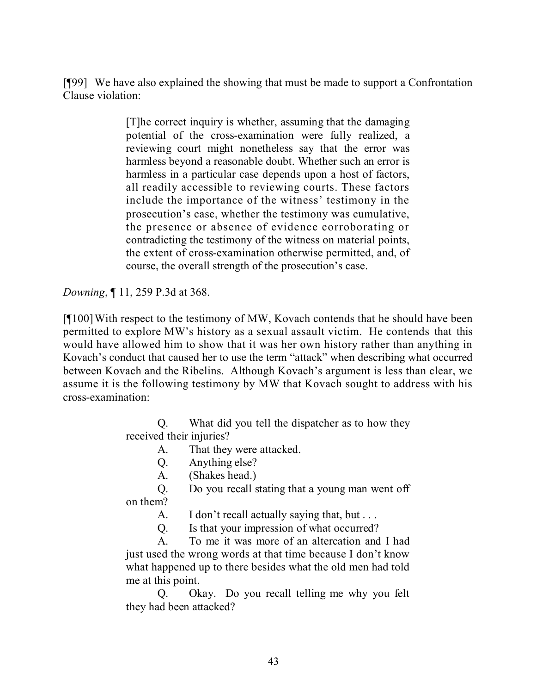[¶99] We have also explained the showing that must be made to support a Confrontation Clause violation:

> [T]he correct inquiry is whether, assuming that the damaging potential of the cross-examination were fully realized, a reviewing court might nonetheless say that the error was harmless beyond a reasonable doubt. Whether such an error is harmless in a particular case depends upon a host of factors, all readily accessible to reviewing courts. These factors include the importance of the witness' testimony in the prosecution's case, whether the testimony was cumulative, the presence or absence of evidence corroborating or contradicting the testimony of the witness on material points, the extent of cross-examination otherwise permitted, and, of course, the overall strength of the prosecution's case.

*Downing*, ¶ 11, 259 P.3d at 368.

[¶100]With respect to the testimony of MW, Kovach contends that he should have been permitted to explore MW's history as a sexual assault victim. He contends that this would have allowed him to show that it was her own history rather than anything in Kovach's conduct that caused her to use the term "attack" when describing what occurred between Kovach and the Ribelins. Although Kovach's argument is less than clear, we assume it is the following testimony by MW that Kovach sought to address with his cross-examination:

> Q. What did you tell the dispatcher as to how they received their injuries?

> > A. That they were attacked.

- Q. Anything else?
- A. (Shakes head.)

Q. Do you recall stating that a young man went off on them?

A. I don't recall actually saying that, but . . .

Q. Is that your impression of what occurred?

A. To me it was more of an altercation and I had just used the wrong words at that time because I don't know what happened up to there besides what the old men had told me at this point.

Q. Okay. Do you recall telling me why you felt they had been attacked?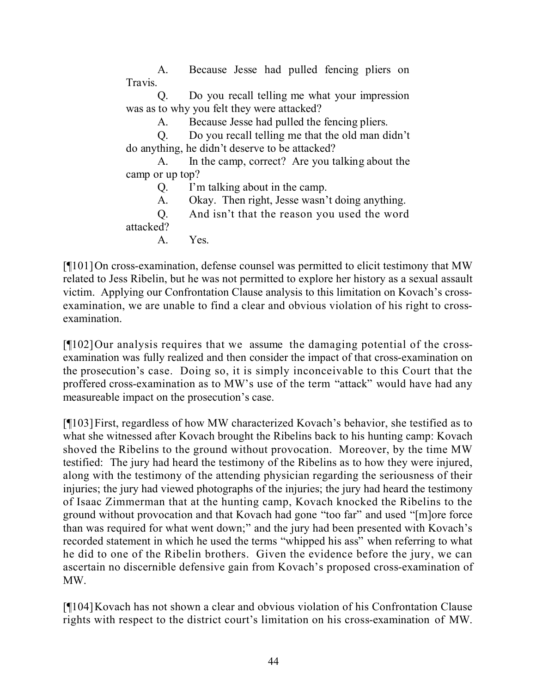A. Because Jesse had pulled fencing pliers on Travis.

Q. Do you recall telling me what your impression was as to why you felt they were attacked?

A. Because Jesse had pulled the fencing pliers.

Q. Do you recall telling me that the old man didn't do anything, he didn't deserve to be attacked?

A. In the camp, correct? Are you talking about the camp or up top?

Q. I'm talking about in the camp.

A. Okay. Then right, Jesse wasn't doing anything.

Q. And isn't that the reason you used the word attacked?

A. Yes.

[¶101]On cross-examination, defense counsel was permitted to elicit testimony that MW related to Jess Ribelin, but he was not permitted to explore her history as a sexual assault victim. Applying our Confrontation Clause analysis to this limitation on Kovach's crossexamination, we are unable to find a clear and obvious violation of his right to crossexamination.

[¶102]Our analysis requires that we assume the damaging potential of the crossexamination was fully realized and then consider the impact of that cross-examination on the prosecution's case. Doing so, it is simply inconceivable to this Court that the proffered cross-examination as to MW's use of the term "attack" would have had any measureable impact on the prosecution's case.

[¶103]First, regardless of how MW characterized Kovach's behavior, she testified as to what she witnessed after Kovach brought the Ribelins back to his hunting camp: Kovach shoved the Ribelins to the ground without provocation. Moreover, by the time MW testified: The jury had heard the testimony of the Ribelins as to how they were injured, along with the testimony of the attending physician regarding the seriousness of their injuries; the jury had viewed photographs of the injuries; the jury had heard the testimony of Isaac Zimmerman that at the hunting camp, Kovach knocked the Ribelins to the ground without provocation and that Kovach had gone "too far" and used "[m]ore force than was required for what went down;" and the jury had been presented with Kovach's recorded statement in which he used the terms "whipped his ass" when referring to what he did to one of the Ribelin brothers. Given the evidence before the jury, we can ascertain no discernible defensive gain from Kovach's proposed cross-examination of MW.

[¶104]Kovach has not shown a clear and obvious violation of his Confrontation Clause rights with respect to the district court's limitation on his cross-examination of MW.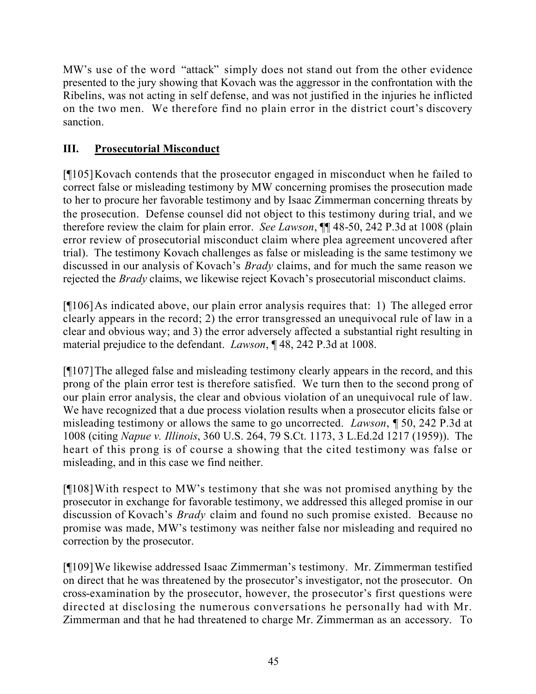MW's use of the word "attack" simply does not stand out from the other evidence presented to the jury showing that Kovach was the aggressor in the confrontation with the Ribelins, was not acting in self defense, and was not justified in the injuries he inflicted on the two men. We therefore find no plain error in the district court's discovery sanction.

# **III. Prosecutorial Misconduct**

[¶105]Kovach contends that the prosecutor engaged in misconduct when he failed to correct false or misleading testimony by MW concerning promises the prosecution made to her to procure her favorable testimony and by Isaac Zimmerman concerning threats by the prosecution. Defense counsel did not object to this testimony during trial, and we therefore review the claim for plain error. *See Lawson*, ¶¶ 48-50, 242 P.3d at 1008 (plain error review of prosecutorial misconduct claim where plea agreement uncovered after trial). The testimony Kovach challenges as false or misleading is the same testimony we discussed in our analysis of Kovach's *Brady* claims, and for much the same reason we rejected the *Brady* claims, we likewise reject Kovach's prosecutorial misconduct claims.

[¶106]As indicated above, our plain error analysis requires that: 1) The alleged error clearly appears in the record; 2) the error transgressed an unequivocal rule of law in a clear and obvious way; and 3) the error adversely affected a substantial right resulting in material prejudice to the defendant. *Lawson*, ¶ 48, 242 P.3d at 1008.

[¶107]The alleged false and misleading testimony clearly appears in the record, and this prong of the plain error test is therefore satisfied. We turn then to the second prong of our plain error analysis, the clear and obvious violation of an unequivocal rule of law. We have recognized that a due process violation results when a prosecutor elicits false or misleading testimony or allows the same to go uncorrected. *Lawson*, ¶ 50, 242 P.3d at 1008 (citing *Napue v. Illinois*, 360 U.S. 264, 79 S.Ct. 1173, 3 L.Ed.2d 1217 (1959)). The heart of this prong is of course a showing that the cited testimony was false or misleading, and in this case we find neither.

[¶108]With respect to MW's testimony that she was not promised anything by the prosecutor in exchange for favorable testimony, we addressed this alleged promise in our discussion of Kovach's *Brady* claim and found no such promise existed. Because no promise was made, MW's testimony was neither false nor misleading and required no correction by the prosecutor.

[¶109]We likewise addressed Isaac Zimmerman's testimony. Mr. Zimmerman testified on direct that he was threatened by the prosecutor's investigator, not the prosecutor. On cross-examination by the prosecutor, however, the prosecutor's first questions were directed at disclosing the numerous conversations he personally had with Mr. Zimmerman and that he had threatened to charge Mr. Zimmerman as an accessory. To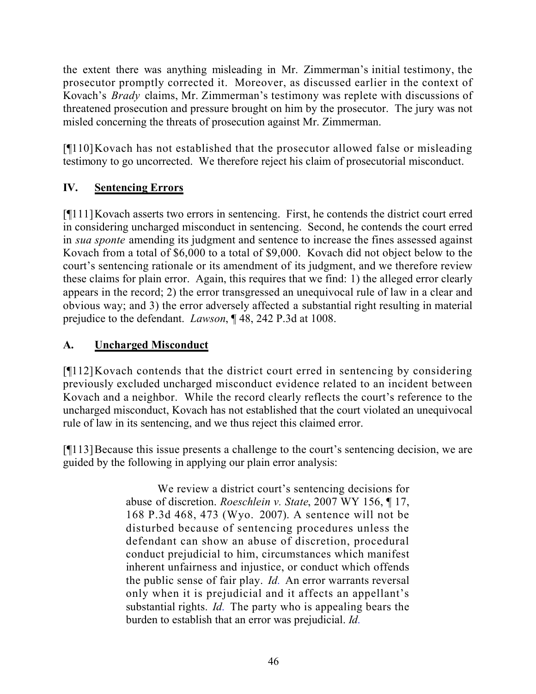the extent there was anything misleading in Mr. Zimmerman's initial testimony, the prosecutor promptly corrected it. Moreover, as discussed earlier in the context of Kovach's *Brady* claims, Mr. Zimmerman's testimony was replete with discussions of threatened prosecution and pressure brought on him by the prosecutor. The jury was not misled concerning the threats of prosecution against Mr. Zimmerman.

[¶110]Kovach has not established that the prosecutor allowed false or misleading testimony to go uncorrected. We therefore reject his claim of prosecutorial misconduct.

# **IV. Sentencing Errors**

[¶111]Kovach asserts two errors in sentencing. First, he contends the district court erred in considering uncharged misconduct in sentencing. Second, he contends the court erred in *sua sponte* amending its judgment and sentence to increase the fines assessed against Kovach from a total of \$6,000 to a total of \$9,000. Kovach did not object below to the court's sentencing rationale or its amendment of its judgment, and we therefore review these claims for plain error. Again, this requires that we find: 1) the alleged error clearly appears in the record; 2) the error transgressed an unequivocal rule of law in a clear and obvious way; and 3) the error adversely affected a substantial right resulting in material prejudice to the defendant. *Lawson*, ¶ 48, 242 P.3d at 1008.

# **A. Uncharged Misconduct**

[¶112]Kovach contends that the district court erred in sentencing by considering previously excluded uncharged misconduct evidence related to an incident between Kovach and a neighbor. While the record clearly reflects the court's reference to the uncharged misconduct, Kovach has not established that the court violated an unequivocal rule of law in its sentencing, and we thus reject this claimed error.

[¶113] Because this issue presents a challenge to the court's sentencing decision, we are guided by the following in applying our plain error analysis:

> We review a district court's sentencing decisions for abuse of discretion. *Roeschlein v. State*, 2007 WY 156, ¶ 17, 168 P.3d 468, 473 (Wyo. 2007). A sentence will not be disturbed because of sentencing procedures unless the defendant can show an abuse of discretion, procedural conduct prejudicial to him, circumstances which manifest inherent unfairness and injustice, or conduct which offends the public sense of fair play. *Id.* An error warrants reversal only when it is prejudicial and it affects an appellant's substantial rights. *Id.* The party who is appealing bears the burden to establish that an error was prejudicial. *Id.*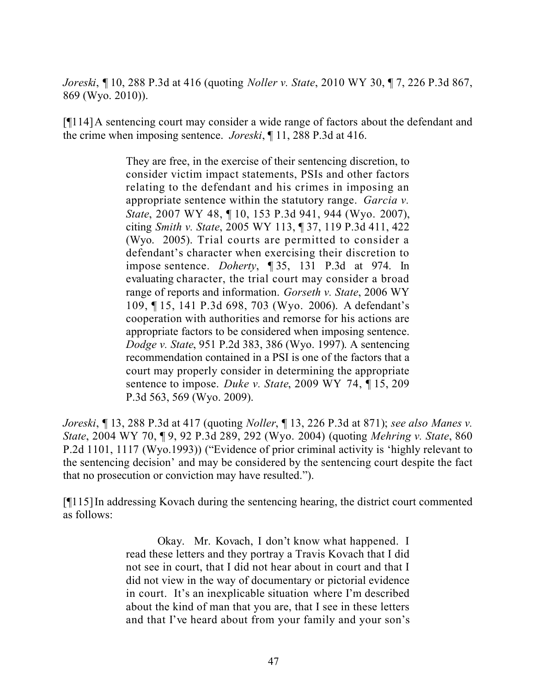*Joreski*, ¶ 10, 288 P.3d at 416 (quoting *Noller v. State*, 2010 WY 30, ¶ 7, 226 P.3d 867, 869 (Wyo. 2010)).

[¶114]A sentencing court may consider a wide range of factors about the defendant and the crime when imposing sentence. *Joreski*, ¶ 11, 288 P.3d at 416.

> They are free, in the exercise of their sentencing discretion, to consider victim impact statements, PSIs and other factors relating to the defendant and his crimes in imposing an appropriate sentence within the statutory range. *Garcia v. State*, 2007 WY 48, ¶ 10, 153 P.3d 941, 944 (Wyo. 2007), citing *Smith v. State*, 2005 WY 113, ¶ 37, 119 P.3d 411, 422 (Wyo. 2005). Trial courts are permitted to consider a defendant's character when exercising their discretion to impose sentence. *Doherty*, ¶ 35, 131 P.3d at 974. In evaluating character, the trial court may consider a broad range of reports and information. *Gorseth v. State*, 2006 WY 109, ¶ 15, 141 P.3d 698, 703 (Wyo. 2006). A defendant's cooperation with authorities and remorse for his actions are appropriate factors to be considered when imposing sentence. *Dodge v. State*, 951 P.2d 383, 386 (Wyo. 1997). A sentencing recommendation contained in a PSI is one of the factors that a court may properly consider in determining the appropriate sentence to impose. *Duke v. State*, 2009 WY 74, ¶ 15, 209 P.3d 563, 569 (Wyo. 2009).

*Joreski*, ¶ 13, 288 P.3d at 417 (quoting *Noller*, ¶ 13, 226 P.3d at 871); *see also Manes v. State*, 2004 WY 70, ¶ 9, 92 P.3d 289, 292 (Wyo. 2004) (quoting *Mehring v. State*, 860 P.2d 1101, 1117 (Wyo.1993)) ("Evidence of prior criminal activity is 'highly relevant to the sentencing decision' and may be considered by the sentencing court despite the fact that no prosecution or conviction may have resulted.").

[¶115]In addressing Kovach during the sentencing hearing, the district court commented as follows:

> Okay. Mr. Kovach, I don't know what happened. I read these letters and they portray a Travis Kovach that I did not see in court, that I did not hear about in court and that I did not view in the way of documentary or pictorial evidence in court. It's an inexplicable situation where I'm described about the kind of man that you are, that I see in these letters and that I've heard about from your family and your son's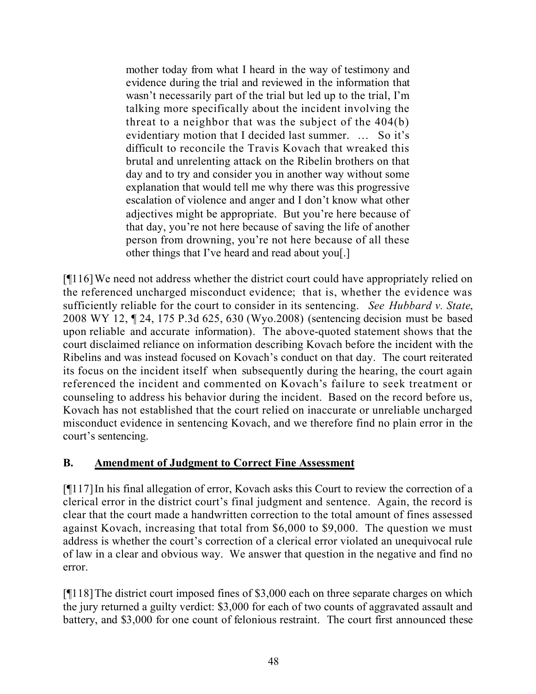mother today from what I heard in the way of testimony and evidence during the trial and reviewed in the information that wasn't necessarily part of the trial but led up to the trial, I'm talking more specifically about the incident involving the threat to a neighbor that was the subject of the 404(b) evidentiary motion that I decided last summer. … So it's difficult to reconcile the Travis Kovach that wreaked this brutal and unrelenting attack on the Ribelin brothers on that day and to try and consider you in another way without some explanation that would tell me why there was this progressive escalation of violence and anger and I don't know what other adjectives might be appropriate. But you're here because of that day, you're not here because of saving the life of another person from drowning, you're not here because of all these other things that I've heard and read about you[.]

[¶116]We need not address whether the district court could have appropriately relied on the referenced uncharged misconduct evidence; that is, whether the evidence was sufficiently reliable for the court to consider in its sentencing. *See Hubbard v. State*, 2008 WY 12, ¶ 24, 175 P.3d 625, 630 (Wyo.2008) (sentencing decision must be based upon reliable and accurate information). The above-quoted statement shows that the court disclaimed reliance on information describing Kovach before the incident with the Ribelins and was instead focused on Kovach's conduct on that day. The court reiterated its focus on the incident itself when subsequently during the hearing, the court again referenced the incident and commented on Kovach's failure to seek treatment or counseling to address his behavior during the incident. Based on the record before us, Kovach has not established that the court relied on inaccurate or unreliable uncharged misconduct evidence in sentencing Kovach, and we therefore find no plain error in the court's sentencing.

## **B. Amendment of Judgment to Correct Fine Assessment**

[¶117]In his final allegation of error, Kovach asks this Court to review the correction of a clerical error in the district court's final judgment and sentence. Again, the record is clear that the court made a handwritten correction to the total amount of fines assessed against Kovach, increasing that total from \$6,000 to \$9,000. The question we must address is whether the court's correction of a clerical error violated an unequivocal rule of law in a clear and obvious way. We answer that question in the negative and find no error.

[¶118]The district court imposed fines of \$3,000 each on three separate charges on which the jury returned a guilty verdict: \$3,000 for each of two counts of aggravated assault and battery, and \$3,000 for one count of felonious restraint. The court first announced these